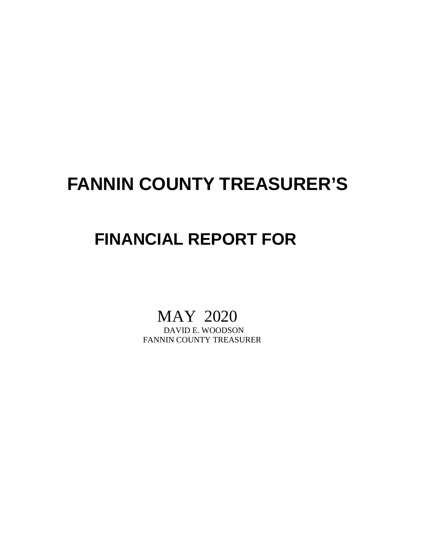## **FANNIN COUNTY TREASURER'S**

## **FINANCIAL REPORT FOR**

# MAY 2020<br>DAVID E. WOODSON

FANNIN COUNTY TREASURER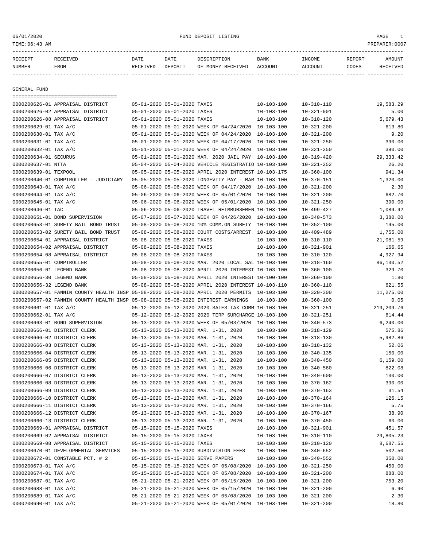06/01/2020 FUND DEPOSIT LISTING PAGE 1

| RECEIPT | RECEIVED | DATE     | DATE    | DESCRIPTION               | <b>BANK</b> | <b>TNCOME</b> | REPORT | AMOUNT          |
|---------|----------|----------|---------|---------------------------|-------------|---------------|--------|-----------------|
| NUMBER  | FROM     | RECEIVED | DEPOSIT | OF MONEY RECEIVED ACCOUNT |             | ACCOUNT       | CODES  | <b>RECEIVED</b> |
|         |          |          |         |                           |             |               |        |                 |

GENERAL FUND

|                           | =====================================                                            |                             |                                                      |                  |                  |            |
|---------------------------|----------------------------------------------------------------------------------|-----------------------------|------------------------------------------------------|------------------|------------------|------------|
|                           | 0000200626-01 APPRAISAL DISTRICT                                                 | 05-01-2020 05-01-2020 TAXES |                                                      | $10 - 103 - 100$ | $10 - 310 - 110$ | 19,583.29  |
|                           | 0000200626-02 APPRAISAL DISTRICT                                                 | 05-01-2020 05-01-2020 TAXES |                                                      | $10 - 103 - 100$ | $10 - 321 - 901$ | 5.00       |
|                           | 0000200626-08 APPRAISAL DISTRICT                                                 | 05-01-2020 05-01-2020 TAXES |                                                      | $10 - 103 - 100$ | $10 - 310 - 120$ | 5,679.43   |
| 0000200629-01 TAX A/C     |                                                                                  |                             | 05-01-2020 05-01-2020 WEEK OF 04/24/2020 10-103-100  |                  | $10 - 321 - 200$ | 613.80     |
| 0000200630-01 TAX A/C     |                                                                                  |                             | 05-01-2020 05-01-2020 WEEK OF 04/24/2020             | $10 - 103 - 100$ | $10 - 321 - 200$ | 9.20       |
| 0000200631-01 TAX A/C     |                                                                                  |                             | 05-01-2020 05-01-2020 WEEK OF 04/17/2020             | 10-103-100       | $10 - 321 - 250$ | 390.00     |
| 0000200632-01 TAX A/C     |                                                                                  |                             | 05-01-2020 05-01-2020 WEEK OF 04/24/2020             | $10 - 103 - 100$ | $10 - 321 - 250$ | 390.00     |
| 0000200634-01 SECURUS     |                                                                                  |                             | 05-01-2020 05-01-2020 MAR. 2020 JAIL PAY 10-103-100  |                  | $10 - 319 - 420$ | 29, 333.42 |
| 0000200637-01 NTTA        |                                                                                  |                             | 05-04-2020 05-04-2020 VEHICLE REGISTRATIO 10-103-100 |                  | $10 - 321 - 252$ | 26.20      |
| 0000200639-01 TEXPOOL     |                                                                                  |                             | 05-05-2020 05-05-2020 APRIL 2020 INTEREST 10-103-175 |                  | $10 - 360 - 100$ | 941.34     |
|                           | 0000200640-01 COMPTROLLER - JUDICIARY                                            |                             | 05-05-2020 05-05-2020 LONGEVITY PAY - MAR 10-103-100 |                  | $10 - 370 - 151$ | 1,320.00   |
| 0000200643-01 TAX A/C     |                                                                                  |                             | 05-06-2020 05-06-2020 WEEK OF 04/17/2020 10-103-100  |                  | $10 - 321 - 200$ | 2.30       |
| 0000200644-01 TAX A/C     |                                                                                  |                             | 05-06-2020 05-06-2020 WEEK OF 05/01/2020             | 10-103-100       | $10 - 321 - 200$ | 682.70     |
| 0000200645-01 TAX A/C     |                                                                                  |                             | 05-06-2020 05-06-2020 WEEK OF 05/01/2020             | 10-103-100       | $10 - 321 - 250$ | 390.00     |
| 0000200646-01 TAC         |                                                                                  |                             | 05-06-2020 05-06-2020 TRAVEL REIMBURSEMEN 10-103-100 |                  | $10 - 499 - 427$ | 1,089.92   |
|                           | 0000200651-01 BOND SUPERVISION                                                   |                             | 05-07-2020 05-07-2020 WEEK OF 04/26/2020 10-103-100  |                  | $10 - 340 - 573$ | 3,380.00   |
|                           | 0000200653-01 SURETY BAIL BOND TRUST                                             |                             | 05-08-2020 05-08-2020 10% COMM.ON SURETY 10-103-100  |                  | $10 - 352 - 100$ | 195.00     |
|                           | 0000200653-02 SURETY BAIL BOND TRUST                                             |                             | 05-08-2020 05-08-2020 COURT COSTS/ARREST 10-103-100  |                  | $10 - 409 - 489$ | 1,755.00   |
|                           | 0000200654-01 APPRAISAL DISTRICT                                                 | 05-08-2020 05-08-2020 TAXES |                                                      | $10 - 103 - 100$ | $10 - 310 - 110$ | 21,081.59  |
|                           | 0000200654-02 APPRAISAL DISTRICT                                                 | 05-08-2020 05-08-2020 TAXES |                                                      | $10 - 103 - 100$ | $10 - 321 - 901$ | 166.65     |
|                           | 0000200654-08 APPRAISAL DISTRICT                                                 | 05-08-2020 05-08-2020 TAXES |                                                      | $10 - 103 - 100$ | $10 - 310 - 120$ | 4,927.94   |
| 0000200655-01 COMPTROLLER |                                                                                  |                             | 05-08-2020 05-08-2020 MAR. 2020 LOCAL SAL 10-103-100 |                  | $10 - 318 - 160$ | 86,130.52  |
| 0000200656-01 LEGEND BANK |                                                                                  |                             | 05-08-2020 05-08-2020 APRIL 2020 INTEREST 10-103-100 |                  | $10 - 360 - 100$ | 329.70     |
| 0000200656-30 LEGEND BANK |                                                                                  |                             | 05-08-2020 05-08-2020 APRIL 2020 INTEREST 10-100-100 |                  | $10 - 360 - 100$ | 1.80       |
| 0000200656-32 LEGEND BANK |                                                                                  |                             | 05-08-2020 05-08-2020 APRIL 2020 INTEREST 10-103-110 |                  | $10 - 360 - 110$ | 621.55     |
|                           | 0000200657-01 FANNIN COUNTY HEALTH INSP 05-08-2020 05-08-2020 APRIL 2020 PERMITS |                             |                                                      | 10-103-100       | $10 - 320 - 300$ | 11,275.00  |
|                           | 0000200657-02 FANNIN COUNTY HEALTH INSP 05-08-2020 05-08-2020 INTEREST EARNINGS  |                             |                                                      | 10-103-100       | $10 - 360 - 100$ | 0.05       |
| 0000200661-01 TAX A/C     |                                                                                  |                             | 05-12-2020 05-12-2020 2020 SALES TAX COMM 10-103-100 |                  | $10 - 321 - 251$ | 219,209.76 |
| 0000200662-01 TAX A/C     |                                                                                  |                             | 05-12-2020 05-12-2020 2020 TERP SURCHARGE 10-103-100 |                  | $10 - 321 - 251$ | 614.44     |
|                           | 0000200663-01 BOND SUPERVISION                                                   |                             | 05-13-2020 05-13-2020 WEEK OF 05/03/2020             | $10 - 103 - 100$ | $10 - 340 - 573$ | 6, 240.00  |
|                           | 0000200666-01 DISTRICT CLERK                                                     |                             | 05-13-2020 05-13-2020 MAR. 1-31, 2020                | $10 - 103 - 100$ | $10 - 318 - 129$ | 575.86     |
|                           | 0000200666-02 DISTRICT CLERK                                                     |                             | 05-13-2020 05-13-2020 MAR. 1-31, 2020                | $10 - 103 - 100$ | $10 - 318 - 130$ | 5,982.86   |
|                           | 0000200666-03 DISTRICT CLERK                                                     |                             | 05-13-2020 05-13-2020 MAR. 1-31, 2020                | $10 - 103 - 100$ | $10 - 318 - 132$ | 52.06      |
|                           | 0000200666-04 DISTRICT CLERK                                                     |                             | 05-13-2020 05-13-2020 MAR. 1-31, 2020                | $10 - 103 - 100$ | $10 - 340 - 135$ | 150.00     |
|                           | 0000200666-05 DISTRICT CLERK                                                     |                             | 05-13-2020 05-13-2020 MAR. 1-31, 2020                | $10 - 103 - 100$ | $10 - 340 - 450$ | 6,159.00   |
|                           | 0000200666-06 DISTRICT CLERK                                                     |                             | 05-13-2020 05-13-2020 MAR. 1-31, 2020                | $10 - 103 - 100$ | $10 - 340 - 560$ | 822.08     |
|                           | 0000200666-07 DISTRICT CLERK                                                     |                             | 05-13-2020 05-13-2020 MAR. 1-31, 2020                | $10 - 103 - 100$ | $10 - 340 - 600$ | 130.00     |
|                           | 0000200666-08 DISTRICT CLERK                                                     |                             | 05-13-2020 05-13-2020 MAR. 1-31, 2020                | $10 - 103 - 100$ | $10 - 370 - 162$ | 390.00     |
|                           | 0000200666-09 DISTRICT CLERK                                                     |                             | 05-13-2020 05-13-2020 MAR. 1-31, 2020                | $10 - 103 - 100$ | $10 - 370 - 163$ | 31.54      |
|                           | 0000200666-10 DISTRICT CLERK                                                     |                             | 05-13-2020 05-13-2020 MAR. 1-31, 2020                | $10 - 103 - 100$ | $10 - 370 - 164$ | 126.15     |
|                           | 0000200666-11 DISTRICT CLERK                                                     |                             | 05-13-2020 05-13-2020 MAR. 1-31, 2020                | $10 - 103 - 100$ | $10 - 370 - 166$ | 5.75       |
|                           | 0000200666-12 DISTRICT CLERK                                                     |                             | 05-13-2020 05-13-2020 MAR. 1-31, 2020                | $10 - 103 - 100$ | $10 - 370 - 167$ | 38.90      |
|                           | 0000200666-13 DISTRICT CLERK                                                     |                             | 05-13-2020 05-13-2020 MAR. 1-31, 2020                | 10-103-100       | $10 - 370 - 450$ | 60.00      |
|                           | 0000200669-01 APPRAISAL DISTRICT                                                 | 05-15-2020 05-15-2020 TAXES |                                                      | $10 - 103 - 100$ | $10 - 321 - 901$ | 451.57     |
|                           | 0000200669-02 APPRAISAL DISTRICT                                                 | 05-15-2020 05-15-2020 TAXES |                                                      | $10 - 103 - 100$ | $10 - 310 - 110$ | 29,805.23  |
|                           | 0000200669-08 APPRAISAL DISTRICT                                                 | 05-15-2020 05-15-2020 TAXES |                                                      | 10-103-100       | $10 - 310 - 120$ | 8,687.55   |
|                           | 0000200670-01 DEVELOPMENTAL SERVICES                                             |                             | 05-15-2020 05-15-2020 SUBDIVISION FEES               | $10 - 103 - 100$ | $10 - 340 - 652$ | 502.50     |
|                           | 0000200672-01 CONSTABLE PCT. # 2                                                 |                             | 05-15-2020 05-15-2020 SERVE PAPERS                   | $10 - 103 - 100$ | $10 - 340 - 552$ | 350.00     |
| 0000200673-01 TAX A/C     |                                                                                  |                             | 05-15-2020 05-15-2020 WEEK OF 05/08/2020 10-103-100  |                  | $10 - 321 - 250$ | 450.00     |
| 0000200674-01 TAX A/C     |                                                                                  |                             | 05-15-2020 05-15-2020 WEEK OF 05/08/2020 10-103-100  |                  | $10 - 321 - 200$ | 888.00     |
| 0000200687-01 TAX A/C     |                                                                                  |                             | 05-21-2020 05-21-2020 WEEK OF 05/15/2020 10-103-100  |                  | $10 - 321 - 200$ | 753.20     |
| 0000200688-01 TAX A/C     |                                                                                  |                             | 05-21-2020 05-21-2020 WEEK OF 05/15/2020 10-103-100  |                  | $10 - 321 - 200$ | 6.90       |
| 0000200689-01 TAX A/C     |                                                                                  |                             | 05-21-2020 05-21-2020 WEEK OF 05/08/2020 10-103-100  |                  | $10 - 321 - 200$ | 2.30       |
| 0000200690-01 TAX A/C     |                                                                                  |                             | 05-21-2020 05-21-2020 WEEK OF 05/01/2020 10-103-100  |                  | $10 - 321 - 200$ | 18.80      |
|                           |                                                                                  |                             |                                                      |                  |                  |            |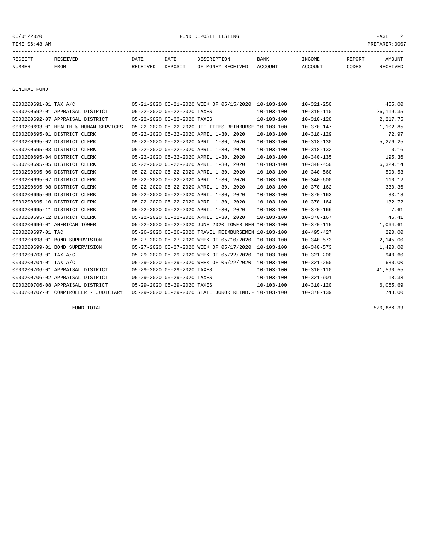### 06/01/2020 FUND DEPOSIT LISTING PAGE 2

| RECEIPT | <b>RECEIVED</b> | DATE     | DATE    | DESCRIPTION       | BANK    | <b>INCOME</b> | REPORT | <b>AMOUNT</b> |
|---------|-----------------|----------|---------|-------------------|---------|---------------|--------|---------------|
| NUMBER  | FROM            | RECEIVED | DEPOSIT | OF MONEY RECEIVED | ACCOUNT | ACCOUNT       | CODES  | RECEIVEL      |
|         |                 |          |         |                   |         |               |        |               |

GENERAL FUND

| ===================================== |                             |                             |                                                      |                  |                  |            |
|---------------------------------------|-----------------------------|-----------------------------|------------------------------------------------------|------------------|------------------|------------|
| 0000200691-01 TAX A/C                 |                             |                             | 05-21-2020 05-21-2020 WEEK OF 05/15/2020 10-103-100  |                  | $10 - 321 - 250$ | 455.00     |
| 0000200692-01 APPRAISAL DISTRICT      | 05-22-2020 05-22-2020 TAXES |                             |                                                      | $10 - 103 - 100$ | $10 - 310 - 110$ | 26, 119.35 |
| 0000200692-07 APPRAISAL DISTRICT      |                             | 05-22-2020 05-22-2020 TAXES |                                                      | $10 - 103 - 100$ | $10 - 310 - 120$ | 2,217.75   |
| 0000200693-01 HEALTH & HUMAN SERVICES |                             |                             | 05-22-2020 05-22-2020 UTILITIES REIMBURSE 10-103-100 |                  | $10 - 370 - 147$ | 1,102.85   |
| 0000200695-01 DISTRICT CLERK          |                             |                             | 05-22-2020 05-22-2020 APRIL 1-30, 2020               | $10 - 103 - 100$ | $10 - 318 - 129$ | 72.97      |
| 0000200695-02 DISTRICT CLERK          |                             |                             | 05-22-2020 05-22-2020 APRIL 1-30, 2020               | $10 - 103 - 100$ | $10 - 318 - 130$ | 5,276.25   |
| 0000200695-03 DISTRICT CLERK          |                             |                             | 05-22-2020 05-22-2020 APRIL 1-30, 2020               | $10 - 103 - 100$ | $10 - 318 - 132$ | 0.16       |
| 0000200695-04 DISTRICT CLERK          |                             |                             | 05-22-2020 05-22-2020 APRIL 1-30, 2020               | $10 - 103 - 100$ | $10 - 340 - 135$ | 195.36     |
| 0000200695-05 DISTRICT CLERK          |                             |                             | 05-22-2020 05-22-2020 APRIL 1-30, 2020               | $10 - 103 - 100$ | $10 - 340 - 450$ | 6,329.14   |
| 0000200695-06 DISTRICT CLERK          |                             |                             | 05-22-2020 05-22-2020 APRIL 1-30, 2020               | $10 - 103 - 100$ | $10 - 340 - 560$ | 590.53     |
| 0000200695-07 DISTRICT CLERK          |                             |                             | 05-22-2020 05-22-2020 APRIL 1-30, 2020               | $10 - 103 - 100$ | $10 - 340 - 600$ | 110.12     |
| 0000200695-08 DISTRICT CLERK          |                             |                             | 05-22-2020 05-22-2020 APRIL 1-30, 2020               | $10 - 103 - 100$ | $10 - 370 - 162$ | 330.36     |
| 0000200695-09 DISTRICT CLERK          |                             |                             | 05-22-2020 05-22-2020 APRIL 1-30, 2020               | $10 - 103 - 100$ | $10 - 370 - 163$ | 33.18      |
| 0000200695-10 DISTRICT CLERK          |                             |                             | 05-22-2020 05-22-2020 APRIL 1-30, 2020               | $10 - 103 - 100$ | $10 - 370 - 164$ | 132.72     |
| 0000200695-11 DISTRICT CLERK          |                             |                             | 05-22-2020 05-22-2020 APRIL 1-30, 2020               | $10 - 103 - 100$ | $10 - 370 - 166$ | 7.61       |
| 0000200695-12 DISTRICT CLERK          |                             |                             | 05-22-2020 05-22-2020 APRIL 1-30, 2020               | $10 - 103 - 100$ | $10 - 370 - 167$ | 46.41      |
| 0000200696-01 AMERICAN TOWER          |                             |                             | 05-22-2020 05-22-2020 JUNE 2020 TOWER REN 10-103-100 |                  | $10 - 370 - 115$ | 1,064.61   |
| 0000200697-01 TAC                     |                             |                             | 05-26-2020 05-26-2020 TRAVEL REIMBURSEMEN 10-103-100 |                  | $10 - 495 - 427$ | 220.00     |
| 0000200698-01 BOND SUPERVISION        |                             |                             | 05-27-2020 05-27-2020 WEEK OF 05/10/2020             | $10 - 103 - 100$ | $10 - 340 - 573$ | 2,145.00   |
| 0000200699-01 BOND SUPERVISION        |                             |                             | 05-27-2020 05-27-2020 WEEK OF 05/17/2020             | $10 - 103 - 100$ | $10 - 340 - 573$ | 1,420.00   |
| 0000200703-01 TAX A/C                 |                             |                             | 05-29-2020 05-29-2020 WEEK OF 05/22/2020             | $10 - 103 - 100$ | $10 - 321 - 200$ | 940.60     |
| 0000200704-01 TAX A/C                 |                             |                             | 05-29-2020 05-29-2020 WEEK OF 05/22/2020             | $10 - 103 - 100$ | $10 - 321 - 250$ | 630.00     |
| 0000200706-01 APPRAISAL DISTRICT      | 05-29-2020 05-29-2020 TAXES |                             |                                                      | $10 - 103 - 100$ | $10 - 310 - 110$ | 41,590.55  |
| 0000200706-02 APPRAISAL DISTRICT      | 05-29-2020 05-29-2020 TAXES |                             |                                                      | $10 - 103 - 100$ | $10 - 321 - 901$ | 18.33      |
| 0000200706-08 APPRAISAL DISTRICT      | 05-29-2020 05-29-2020 TAXES |                             |                                                      | $10 - 103 - 100$ | $10 - 310 - 120$ | 6,065.69   |
| 0000200707-01 COMPTROLLER - JUDICIARY |                             |                             | 05-29-2020 05-29-2020 STATE JUROR REIMB.F 10-103-100 |                  | $10 - 370 - 139$ | 748.00     |

FUND TOTAL 570,688.39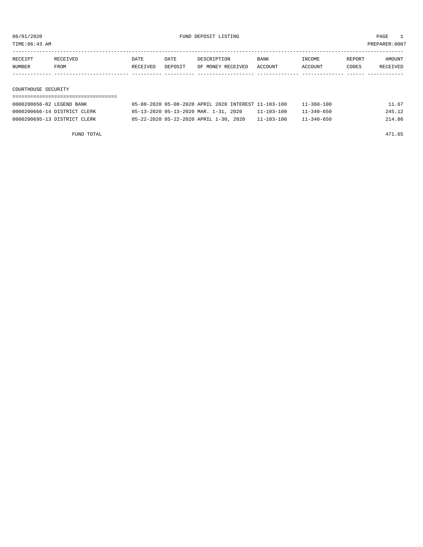TIME:06:43 AM PREPARER:0007

| RECEIPT | RECEIVED    | DATE     | DATE    | DESCRIPTION       | BANK    | INCOME         | REPORT | AMOUNT   |
|---------|-------------|----------|---------|-------------------|---------|----------------|--------|----------|
| NUMBER  | <b>FROM</b> | RECEIVED | DEPOSIT | OF MONEY RECEIVED | ACCOUNT | <b>ACCOUNT</b> | CODES  | RECEIVED |
|         |             |          |         |                   |         |                |        |          |

COURTHOUSE SECURITY

| 0000200656-02 LEGEND BANK    | 05-08-2020 05-08-2020 APRIL 2020 INTEREST 11-103-100 |                  | $11 - 360 - 100$ | 11.67  |
|------------------------------|------------------------------------------------------|------------------|------------------|--------|
| 0000200666-14 DISTRICT CLERK | 05-13-2020 05-13-2020 MAR. 1-31, 2020                | $11 - 103 - 100$ | $11 - 340 - 650$ | 245.12 |
| 0000200695-13 DISTRICT CLERK | 05-22-2020 05-22-2020 APRIL 1-30, 2020               | $11 - 103 - 100$ | $11 - 340 - 650$ | 214.86 |

FUND TOTAL 471.65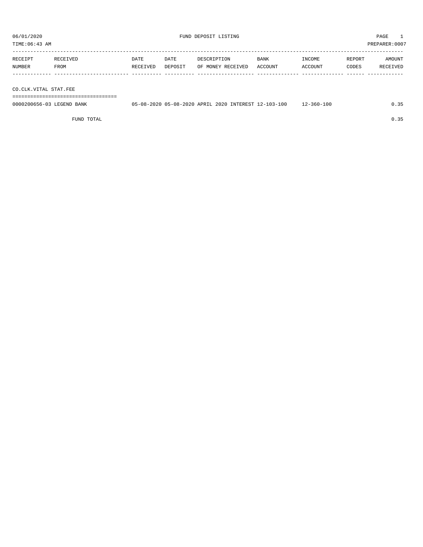----------------------------------------------------------------------------------------------------------------------------------- RECEIPT RECEIVED DATE DATE DESCRIPTION BANK INCOME REPORT AMOUNT NUMBER FROM RECEIVED DEPOSIT OF MONEY RECEIVED ACCOUNT ACCOUNT CODES RECEIVED ------------- ------------------------- ---------- ---------- ------------------- -------------- -------------- ------ ------------

CO.CLK.VITAL STAT.FEE

===================================

| 0000200656-03 LEGEND BANK | 05-08-2020 05-08-2020 APRIL 2020 INTEREST 12-103-100 |  | $12 - 360 - 100$ |  |
|---------------------------|------------------------------------------------------|--|------------------|--|
|                           |                                                      |  |                  |  |

FUND TOTAL  $0.35$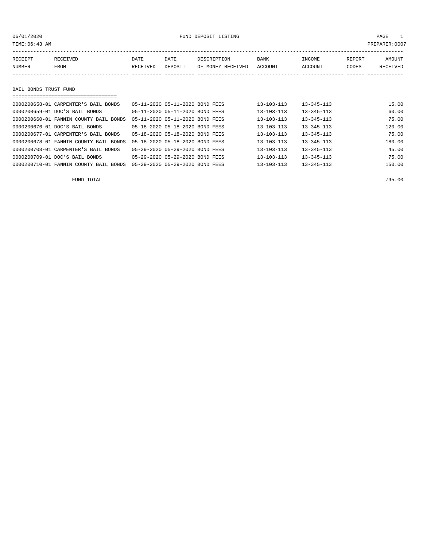### 06/01/2020 FUND DEPOSIT LISTING PAGE 1

| RECEIPT               | RECEIVED | DATE     | DATE    | DESCRIPTION       | <b>BANK</b> | INCOME  | REPORT | <b>AMOUNT</b> |
|-----------------------|----------|----------|---------|-------------------|-------------|---------|--------|---------------|
| NUMBER                | FROM     | RECEIVED | DEPOSIT | OF MONEY RECEIVED | ACCOUNT     | ACCOUNT | CODES  | RECEIVED      |
|                       |          |          |         |                   |             |         |        |               |
|                       |          |          |         |                   |             |         |        |               |
| BAIL BONDS TRUST FUND |          |          |         |                   |             |         |        |               |

| 0000200658-01 CARPENTER'S BAIL BONDS   | 05-11-2020 05-11-2020 BOND FEES |  | $13 - 103 - 113$ | $13 - 345 - 113$ | 15.00  |
|----------------------------------------|---------------------------------|--|------------------|------------------|--------|
| 0000200659-01 DOC'S BAIL BONDS         | 05-11-2020 05-11-2020 BOND FEES |  | $13 - 103 - 113$ | $13 - 345 - 113$ | 60.00  |
| 0000200660-01 FANNIN COUNTY BAIL BONDS | 05-11-2020 05-11-2020 BOND FEES |  | $13 - 103 - 113$ | $13 - 345 - 113$ | 75.00  |
| 0000200676-01 DOC'S BAIL BONDS         | 05-18-2020 05-18-2020 BOND FEES |  | $13 - 103 - 113$ | $13 - 345 - 113$ | 120.00 |
| 0000200677-01 CARPENTER'S BAIL BONDS   | 05-18-2020 05-18-2020 BOND FEES |  | $13 - 103 - 113$ | $13 - 345 - 113$ | 75.00  |
| 0000200678-01 FANNIN COUNTY BAIL BONDS | 05-18-2020 05-18-2020 BOND FEES |  | $13 - 103 - 113$ | $13 - 345 - 113$ | 180.00 |
| 0000200708-01 CARPENTER'S BAIL BONDS   | 05-29-2020 05-29-2020 BOND FEES |  | $13 - 103 - 113$ | $13 - 345 - 113$ | 45.00  |
| 0000200709-01 DOC'S BAIL BONDS         | 05-29-2020 05-29-2020 BOND FEES |  | $13 - 103 - 113$ | $13 - 345 - 113$ | 75.00  |
| 0000200710-01 FANNIN COUNTY BAIL BONDS | 05-29-2020 05-29-2020 BOND FEES |  | $13 - 103 - 113$ | $13 - 345 - 113$ | 150.00 |

FUND TOTAL 795.00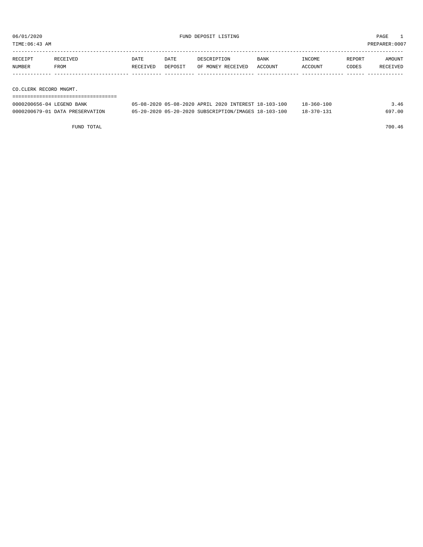TIME:06:43 AM PREPARER:0007

| RECEIPT | <b>RECEIVED</b> | DATE     | DATE    | DESCRIPTION       | <b>BANK</b> | INCOME  | REPORT | AMOUNT   |
|---------|-----------------|----------|---------|-------------------|-------------|---------|--------|----------|
| NUMBER  | FROM            | RECEIVED | DEPOSIT | OF MONEY RECEIVED | ACCOUNT     | ACCOUNT | CODES  | RECEIVED |
|         |                 |          |         |                   |             |         |        |          |

CO.CLERK RECORD MNGMT.

| ================================= |                                                      |                  |        |
|-----------------------------------|------------------------------------------------------|------------------|--------|
| 0000200656-04 LEGEND BANK         | 05-08-2020 05-08-2020 APRIL 2020 INTEREST 18-103-100 | $18 - 360 - 100$ | 3.46   |
| 0000200679-01 DATA PRESERVATION   | 05-20-2020 05-20-2020 SUBSCRIPTION/IMAGES 18-103-100 | $18 - 370 - 131$ | 697.00 |

FUND TOTAL 700.46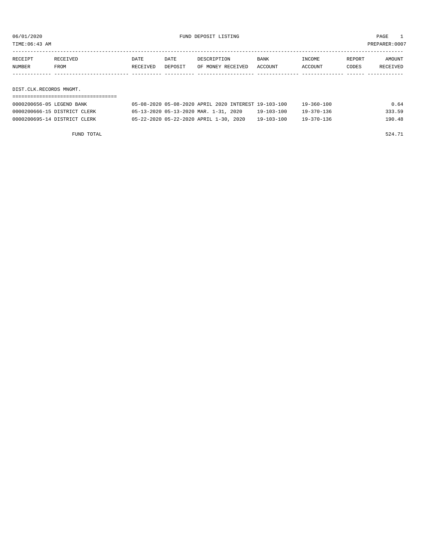06/01/2020 FUND DEPOSIT LISTING PAGE 1

| RECEIPT | <b>RECEIVED</b> | DATE     | DATE    | DESCRIPTION       | <b>BANK</b> | INCOME         | REPORT | AMOUNT          |
|---------|-----------------|----------|---------|-------------------|-------------|----------------|--------|-----------------|
| NUMBER  | FROM            | RECEIVED | DEPOSIT | OF MONEY RECEIVED | ACCOUNT     | <b>ACCOUNT</b> | CODES  | <b>RECEIVED</b> |
|         |                 |          |         |                   |             |                |        |                 |

DIST.CLK.RECORDS MNGMT.

| 0000200656-05 LEGEND BANK    | 05-08-2020 05-08-2020 APRIL 2020 INTEREST 19-103-100 |  |            | $19 - 360 - 100$ | 0.64   |
|------------------------------|------------------------------------------------------|--|------------|------------------|--------|
| 0000200666-15 DISTRICT CLERK | 05-13-2020 05-13-2020 MAR. 1-31, 2020                |  | 19-103-100 | $19 - 370 - 136$ | 333.59 |
| 0000200695-14 DISTRICT CLERK | 05-22-2020 05-22-2020 APRIL 1-30, 2020               |  | 19-103-100 | 19-370-136       | 190.48 |
|                              |                                                      |  |            |                  |        |

FUND TOTAL  $524.71$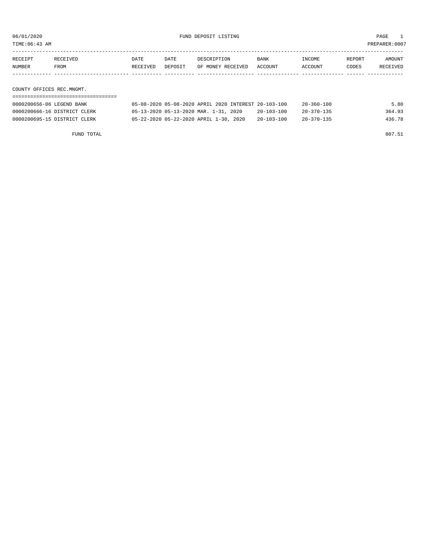06/01/2020 FUND DEPOSIT LISTING PAGE 1

| RECEIPT | RECEIVED | DATE     | DATE    | DESCRIPTION               | <b>BANK</b> | INCOME  | REPORT | AMOUNT   |
|---------|----------|----------|---------|---------------------------|-------------|---------|--------|----------|
| NUMBER  | FROM     | RECEIVED | DEPOSIT | OF MONEY RECEIVED ACCOUNT |             | ACCOUNT | CODES  | RECEIVED |
|         |          |          |         |                           |             |         |        |          |

COUNTY OFFICES REC.MNGMT.

| 0000200656-06 LEGEND BANK    | 05-08-2020 05-08-2020 APRIL 2020 INTEREST 20-103-100 |                  | 20-360-100       | 5.80   |
|------------------------------|------------------------------------------------------|------------------|------------------|--------|
| 0000200666-16 DISTRICT CLERK | 05-13-2020 05-13-2020 MAR. 1-31, 2020                | $20 - 103 - 100$ | $20 - 370 - 135$ | 364.93 |
| 0000200695-15 DISTRICT CLERK | 05-22-2020 05-22-2020 APRIL 1-30, 2020               | $20 - 103 - 100$ | $20 - 370 - 135$ | 436.78 |

FUND TOTAL 807.51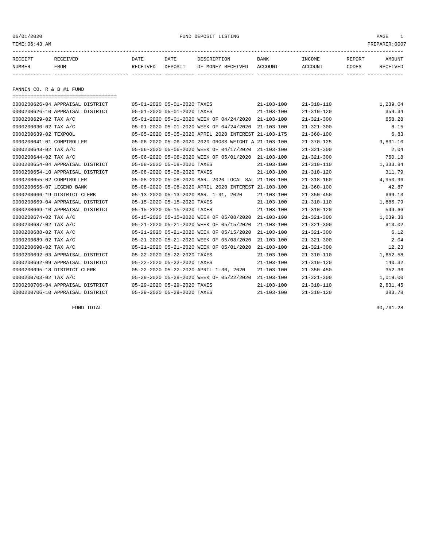06/01/2020 PAGE 1 PAGE 1

| RECEIPT | <b>RECEIVED</b> | DATE     | DATE    | DESCRIPTION       | BANK    | <b>INCOME</b> | REPORT | <b>AMOUNT</b>   |
|---------|-----------------|----------|---------|-------------------|---------|---------------|--------|-----------------|
| NUMBER  | FROM            | RECEIVED | DEPOSIT | OF MONEY RECEIVED | ACCOUNT | ACCOUNT       | CODES  | <b>RECEIVED</b> |
|         |                 |          |         |                   |         |               |        |                 |

FANNIN CO. R & B #1 FUND

| ====================================== |                             |                                                      |                  |                  |          |
|----------------------------------------|-----------------------------|------------------------------------------------------|------------------|------------------|----------|
| 0000200626-04 APPRAISAL DISTRICT       | 05-01-2020 05-01-2020 TAXES |                                                      | $21 - 103 - 100$ | $21 - 310 - 110$ | 1,239.04 |
| 0000200626-10 APPRAISAL DISTRICT       | 05-01-2020 05-01-2020 TAXES |                                                      | $21 - 103 - 100$ | $21 - 310 - 120$ | 359.34   |
| 0000200629-02 TAX A/C                  |                             | 05-01-2020 05-01-2020 WEEK OF 04/24/2020             | $21 - 103 - 100$ | $21 - 321 - 300$ | 658.28   |
| 0000200630-02 TAX A/C                  |                             | 05-01-2020 05-01-2020 WEEK OF 04/24/2020             | $21 - 103 - 100$ | $21 - 321 - 300$ | 8.15     |
| 0000200639-02 TEXPOOL                  |                             | 05-05-2020 05-05-2020 APRIL 2020 INTEREST 21-103-175 |                  | $21 - 360 - 100$ | 6.83     |
| 0000200641-01 COMPTROLLER              |                             | 05-06-2020 05-06-2020 2020 GROSS WEIGHT A 21-103-100 |                  | $21 - 370 - 125$ | 9,831.10 |
| 0000200643-02 TAX A/C                  |                             | 05-06-2020 05-06-2020 WEEK OF 04/17/2020             | $21 - 103 - 100$ | $21 - 321 - 300$ | 2.04     |
| 0000200644-02 TAX A/C                  |                             | 05-06-2020 05-06-2020 WEEK OF 05/01/2020             | $21 - 103 - 100$ | $21 - 321 - 300$ | 760.18   |
| 0000200654-04 APPRAISAL DISTRICT       | 05-08-2020 05-08-2020 TAXES |                                                      | $21 - 103 - 100$ | $21 - 310 - 110$ | 1,333.84 |
| 0000200654-10 APPRAISAL DISTRICT       | 05-08-2020 05-08-2020 TAXES |                                                      | $21 - 103 - 100$ | $21 - 310 - 120$ | 311.79   |
| 0000200655-02 COMPTROLLER              |                             | 05-08-2020 05-08-2020 MAR. 2020 LOCAL SAL 21-103-100 |                  | $21 - 318 - 160$ | 4,950.96 |
| 0000200656-07 LEGEND BANK              |                             | 05-08-2020 05-08-2020 APRIL 2020 INTEREST 21-103-100 |                  | $21 - 360 - 100$ | 42.87    |
| 0000200666-19 DISTRICT CLERK           |                             | 05-13-2020 05-13-2020 MAR. 1-31, 2020                | $21 - 103 - 100$ | $21 - 350 - 450$ | 669.13   |
| 0000200669-04 APPRAISAL DISTRICT       | 05-15-2020 05-15-2020 TAXES |                                                      | $21 - 103 - 100$ | $21 - 310 - 110$ | 1,885.79 |
| 0000200669-10 APPRAISAL DISTRICT       | 05-15-2020 05-15-2020 TAXES |                                                      | $21 - 103 - 100$ | $21 - 310 - 120$ | 549.66   |
| 0000200674-02 TAX A/C                  |                             | 05-15-2020 05-15-2020 WEEK OF 05/08/2020             | $21 - 103 - 100$ | $21 - 321 - 300$ | 1,039.38 |
| 0000200687-02 TAX A/C                  |                             | 05-21-2020 05-21-2020 WEEK OF 05/15/2020             | $21 - 103 - 100$ | $21 - 321 - 300$ | 913.02   |
| 0000200688-02 TAX A/C                  |                             | 05-21-2020 05-21-2020 WEEK OF 05/15/2020             | $21 - 103 - 100$ | $21 - 321 - 300$ | 6.12     |
| 0000200689-02 TAX A/C                  |                             | 05-21-2020 05-21-2020 WEEK OF 05/08/2020             | $21 - 103 - 100$ | $21 - 321 - 300$ | 2.04     |
| 0000200690-02 TAX A/C                  |                             | 05-21-2020 05-21-2020 WEEK OF 05/01/2020             | $21 - 103 - 100$ | $21 - 321 - 300$ | 12.23    |
| 0000200692-03 APPRAISAL DISTRICT       | 05-22-2020 05-22-2020 TAXES |                                                      | $21 - 103 - 100$ | $21 - 310 - 110$ | 1,652.58 |
| 0000200692-09 APPRAISAL DISTRICT       | 05-22-2020 05-22-2020 TAXES |                                                      | $21 - 103 - 100$ | $21 - 310 - 120$ | 140.32   |
| 0000200695-18 DISTRICT CLERK           |                             | 05-22-2020 05-22-2020 APRIL 1-30, 2020               | $21 - 103 - 100$ | $21 - 350 - 450$ | 352.36   |
| 0000200703-02 TAX A/C                  |                             | 05-29-2020 05-29-2020 WEEK OF 05/22/2020             | $21 - 103 - 100$ | $21 - 321 - 300$ | 1,019.00 |
| 0000200706-04 APPRAISAL DISTRICT       | 05-29-2020 05-29-2020 TAXES |                                                      | $21 - 103 - 100$ | $21 - 310 - 110$ | 2,631.45 |
| 0000200706-10 APPRAISAL DISTRICT       | 05-29-2020 05-29-2020 TAXES |                                                      | $21 - 103 - 100$ | $21 - 310 - 120$ | 383.78   |

FUND TOTAL 30,761.28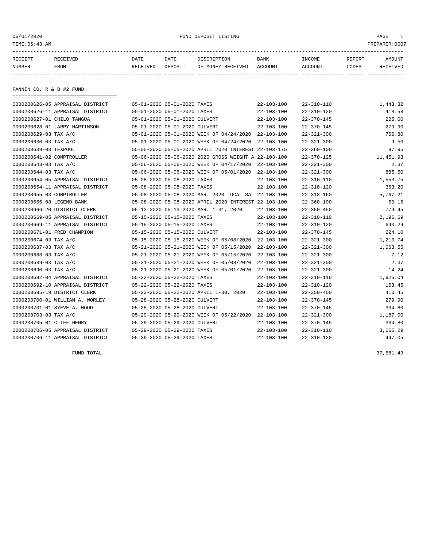### 06/01/2020 FUND DEPOSIT LISTING PAGE 1

| RECEIPT | RECEIVED | DATE     | DATE    | DESCRIPTION       | <b>BANK</b> | <b>INCOME</b> | REPORT | AMOUNT          |
|---------|----------|----------|---------|-------------------|-------------|---------------|--------|-----------------|
| NUMBER  | FROM     | RECEIVED | DEPOSIT | OF MONEY RECEIVED | ACCOUNT     | ACCOUNT       | CODES  | <b>RECEIVED</b> |
|         |          |          |         |                   |             |               |        |                 |

FANNIN CO. R & B #2 FUND

| ------------------------------------- |                                                      |                  |                  |           |
|---------------------------------------|------------------------------------------------------|------------------|------------------|-----------|
| 0000200626-05 APPRAISAL DISTRICT      | 05-01-2020 05-01-2020 TAXES                          | $22 - 103 - 100$ | 22-310-110       | 1,443.32  |
| 0000200626-11 APPRAISAL DISTRICT      | 05-01-2020 05-01-2020 TAXES                          | $22 - 103 - 100$ | $22 - 310 - 120$ | 418.58    |
| 0000200627-01 CHILO TANGUA            | 05-01-2020 05-01-2020 CULVERT                        | $22 - 103 - 100$ | $22 - 370 - 145$ | 205.00    |
| 0000200628-01 LARRY MARTINSON         | 05-01-2020 05-01-2020 CULVERT                        | $22 - 103 - 100$ | $22 - 370 - 145$ | 279.90    |
| 0000200629-03 TAX A/C                 | 05-01-2020 05-01-2020 WEEK OF 04/24/2020 22-103-100  |                  | $22 - 321 - 300$ | 766.80    |
| 0000200630-03 TAX A/C                 | 05-01-2020 05-01-2020 WEEK OF 04/24/2020             | 22-103-100       | $22 - 321 - 300$ | 9.50      |
| 0000200639-03 TEXPOOL                 | 05-05-2020 05-05-2020 APRIL 2020 INTEREST 22-103-175 |                  | $22 - 360 - 100$ | 97.95     |
| 0000200641-02 COMPTROLLER             | 05-06-2020 05-06-2020 2020 GROSS WEIGHT A 22-103-100 |                  | $22 - 370 - 125$ | 11,451.93 |
| 0000200643-03 TAX A/C                 | 05-06-2020 05-06-2020 WEEK OF 04/17/2020 22-103-100  |                  | $22 - 321 - 300$ | 2.37      |
| 0000200644-03 TAX A/C                 | 05-06-2020 05-06-2020 WEEK OF 05/01/2020 22-103-100  |                  | $22 - 321 - 300$ | 885.50    |
| 0000200654-05 APPRAISAL DISTRICT      | 05-08-2020 05-08-2020 TAXES                          | $22 - 103 - 100$ | $22 - 310 - 110$ | 1,553.75  |
| 0000200654-11 APPRAISAL DISTRICT      | 05-08-2020 05-08-2020 TAXES                          | $22 - 103 - 100$ | $22 - 310 - 120$ | 363.20    |
| 0000200655-03 COMPTROLLER             | 05-08-2020 05-08-2020 MAR. 2020 LOCAL SAL 22-103-100 |                  | $22 - 318 - 160$ | 5,767.21  |
| 0000200656-08 LEGEND BANK             | 05-08-2020 05-08-2020 APRIL 2020 INTEREST 22-103-100 |                  | $22 - 360 - 100$ | 50.15     |
| 0000200666-20 DISTRICT CLERK          | 05-13-2020 05-13-2020 MAR. 1-31, 2020                | $22 - 103 - 100$ | $22 - 350 - 450$ | 779.45    |
| 0000200669-05 APPRAISAL DISTRICT      | 05-15-2020 05-15-2020 TAXES                          | $22 - 103 - 100$ | $22 - 310 - 110$ | 2,196.69  |
| 0000200669-11 APPRAISAL DISTRICT      | 05-15-2020 05-15-2020 TAXES                          | $22 - 103 - 100$ | $22 - 310 - 120$ | 640.29    |
| 0000200671-01 FRED CHAMPION           | 05-15-2020 05-15-2020 CULVERT                        | $22 - 103 - 100$ | $22 - 370 - 145$ | 224.10    |
| 0000200674-03 TAX A/C                 | 05-15-2020 05-15-2020 WEEK OF 05/08/2020             | 22-103-100       | $22 - 321 - 300$ | 1,210.74  |
| 0000200687-03 TAX A/C                 | 05-21-2020 05-21-2020 WEEK OF 05/15/2020             | $22 - 103 - 100$ | $22 - 321 - 300$ | 1,063.55  |
| 0000200688-03 TAX A/C                 | 05-21-2020 05-21-2020 WEEK OF 05/15/2020             | $22 - 103 - 100$ | $22 - 321 - 300$ | 7.12      |
| 0000200689-03 TAX A/C                 | 05-21-2020 05-21-2020 WEEK OF 05/08/2020             | $22 - 103 - 100$ | $22 - 321 - 300$ | 2.37      |
| 0000200690-03 TAX A/C                 | 05-21-2020 05-21-2020 WEEK OF 05/01/2020             | $22 - 103 - 100$ | $22 - 321 - 300$ | 14.24     |
| 0000200692-04 APPRAISAL DISTRICT      | 05-22-2020 05-22-2020 TAXES                          | $22 - 103 - 100$ | 22-310-110       | 1,925.04  |
| 0000200692-10 APPRAISAL DISTRICT      | 05-22-2020 05-22-2020 TAXES                          | $22 - 103 - 100$ | $22 - 310 - 120$ | 163.45    |
| 0000200695-19 DISTRICT CLERK          | 05-22-2020 05-22-2020 APRIL 1-30, 2020               | $22 - 103 - 100$ | $22 - 350 - 450$ | 410.45    |
| 0000200700-01 WILLIAM A. WORLEY       | 05-28-2020 05-28-2020 CULVERT                        | $22 - 103 - 100$ | $22 - 370 - 145$ | 279.90    |
| 0000200701-01 SYEVE A. WOOD           | 05-28-2020 05-28-2020 CULVERT                        | $22 - 103 - 100$ | $22 - 370 - 145$ | 334.80    |
| 0000200703-03 TAX A/C                 | 05-29-2020 05-29-2020 WEEK OF 05/22/2020 22-103-100  |                  | $22 - 321 - 300$ | 1,187.00  |
| 0000200705-01 CLIFF HENRY             | 05-29-2020 05-29-2020 CULVERT                        | 22-103-100       | $22 - 370 - 145$ | 334.80    |
| 0000200706-05 APPRAISAL DISTRICT      | 05-29-2020 05-29-2020 TAXES                          | $22 - 103 - 100$ | $22 - 310 - 110$ | 3,065.29  |
| 0000200706-11 APPRAISAL DISTRICT      | 05-29-2020 05-29-2020 TAXES                          | $22 - 103 - 100$ | $22 - 310 - 120$ | 447.05    |

FUND TOTAL 37,581.49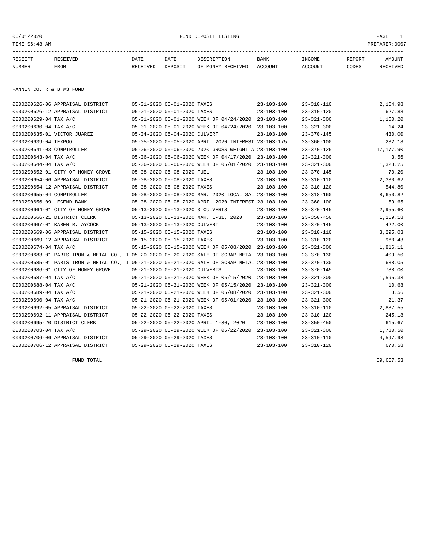#### 06/01/2020 FUND DEPOSIT LISTING PAGE 1

| RECEIPT | RECEIVED | DATE     | DATE    | DESCRIPTION               | BANK | INCOME  | REPORT | <b>AMOUNT</b> |
|---------|----------|----------|---------|---------------------------|------|---------|--------|---------------|
| NUMBER  | FROM     | RECEIVED | DEPOSIT | OF MONEY RECEIVED ACCOUNT |      | ACCOUNT | CODES  | RECEIVED      |
|         |          |          |         |                           |      |         |        |               |

FANNIN CO. R & B #3 FUND

| =====================================                                                        |                             |                                |                                                      |                  |                  |           |
|----------------------------------------------------------------------------------------------|-----------------------------|--------------------------------|------------------------------------------------------|------------------|------------------|-----------|
| 0000200626-06 APPRAISAL DISTRICT                                                             |                             | 05-01-2020 05-01-2020 TAXES    |                                                      | $23 - 103 - 100$ | $23 - 310 - 110$ | 2,164.98  |
| 0000200626-12 APPRAISAL DISTRICT                                                             |                             | 05-01-2020 05-01-2020 TAXES    |                                                      | $23 - 103 - 100$ | $23 - 310 - 120$ | 627.88    |
| 0000200629-04 TAX A/C                                                                        |                             |                                | 05-01-2020 05-01-2020 WEEK OF 04/24/2020 23-103-100  |                  | $23 - 321 - 300$ | 1,150.20  |
| 0000200630-04 TAX A/C                                                                        |                             |                                | 05-01-2020 05-01-2020 WEEK OF 04/24/2020 23-103-100  |                  | $23 - 321 - 300$ | 14.24     |
| 0000200635-01 VICTOR JUAREZ                                                                  |                             | 05-04-2020 05-04-2020 CULVERT  |                                                      | $23 - 103 - 100$ | $23 - 370 - 145$ | 430.00    |
| 0000200639-04 TEXPOOL                                                                        |                             |                                | 05-05-2020 05-05-2020 APRIL 2020 INTEREST 23-103-175 |                  | $23 - 360 - 100$ | 232.18    |
| 0000200641-03 COMPTROLLER                                                                    |                             |                                | 05-06-2020 05-06-2020 2020 GROSS WEIGHT A 23-103-100 |                  | $23 - 370 - 125$ | 17,177.90 |
| 0000200643-04 TAX A/C                                                                        |                             |                                | 05-06-2020 05-06-2020 WEEK OF 04/17/2020 23-103-100  |                  | $23 - 321 - 300$ | 3.56      |
| 0000200644-04 TAX A/C                                                                        |                             |                                | 05-06-2020 05-06-2020 WEEK OF 05/01/2020 23-103-100  |                  | $23 - 321 - 300$ | 1,328.25  |
| 0000200652-01 CITY OF HONEY GROVE                                                            |                             | 05-08-2020 05-08-2020 FUEL     |                                                      | $23 - 103 - 100$ | $23 - 370 - 145$ | 70.20     |
| 0000200654-06 APPRAISAL DISTRICT                                                             |                             | 05-08-2020 05-08-2020 TAXES    |                                                      | $23 - 103 - 100$ | $23 - 310 - 110$ | 2,330.62  |
| 0000200654-12 APPRAISAL DISTRICT                                                             |                             | 05-08-2020 05-08-2020 TAXES    |                                                      | $23 - 103 - 100$ | $23 - 310 - 120$ | 544.80    |
| 0000200655-04 COMPTROLLER                                                                    |                             |                                | 05-08-2020 05-08-2020 MAR. 2020 LOCAL SAL 23-103-100 |                  | $23 - 318 - 160$ | 8,650.82  |
| 0000200656-09 LEGEND BANK                                                                    |                             |                                | 05-08-2020 05-08-2020 APRIL 2020 INTEREST 23-103-100 |                  | $23 - 360 - 100$ | 59.65     |
| 0000200664-01 CITY OF HONEY GROVE                                                            |                             |                                | 05-13-2020 05-13-2020 3 CULVERTS                     | $23 - 103 - 100$ | $23 - 370 - 145$ | 2,955.60  |
| 0000200666-21 DISTRICT CLERK                                                                 |                             |                                | 05-13-2020 05-13-2020 MAR. 1-31, 2020                | 23-103-100       | $23 - 350 - 450$ | 1,169.18  |
| 0000200667-01 KAREN R. AYCOCK                                                                |                             | 05-13-2020 05-13-2020 CULVERT  |                                                      | 23-103-100       | $23 - 370 - 145$ | 422.00    |
| 0000200669-06 APPRAISAL DISTRICT                                                             | 05-15-2020 05-15-2020 TAXES |                                |                                                      | 23-103-100       | $23 - 310 - 110$ | 3,295.03  |
| 0000200669-12 APPRAISAL DISTRICT                                                             | 05-15-2020 05-15-2020 TAXES |                                |                                                      | 23-103-100       | $23 - 310 - 120$ | 960.43    |
| 0000200674-04 TAX A/C                                                                        |                             |                                | 05-15-2020 05-15-2020 WEEK OF 05/08/2020 23-103-100  |                  | $23 - 321 - 300$ | 1,816.11  |
| 0000200683-01 PARIS IRON & METAL CO., I 05-20-2020 05-20-2020 SALE OF SCRAP METAL 23-103-100 |                             |                                |                                                      |                  | $23 - 370 - 130$ | 409.50    |
| 0000200685-01 PARIS IRON & METAL CO., I 05-21-2020 05-21-2020 SALE OF SCRAP METAL 23-103-100 |                             |                                |                                                      |                  | $23 - 370 - 130$ | 638.05    |
| 0000200686-01 CITY OF HONEY GROVE                                                            |                             | 05-21-2020 05-21-2020 CULVERTS |                                                      | $23 - 103 - 100$ | $23 - 370 - 145$ | 788.00    |
| 0000200687-04 TAX A/C                                                                        |                             |                                | 05-21-2020 05-21-2020 WEEK OF 05/15/2020 23-103-100  |                  | $23 - 321 - 300$ | 1,595.33  |
| 0000200688-04 TAX A/C                                                                        |                             |                                | 05-21-2020 05-21-2020 WEEK OF 05/15/2020 23-103-100  |                  | $23 - 321 - 300$ | 10.68     |
| 0000200689-04 TAX A/C                                                                        |                             |                                | 05-21-2020 05-21-2020 WEEK OF 05/08/2020 23-103-100  |                  | $23 - 321 - 300$ | 3.56      |
| 0000200690-04 TAX A/C                                                                        |                             |                                | 05-21-2020 05-21-2020 WEEK OF 05/01/2020 23-103-100  |                  | $23 - 321 - 300$ | 21.37     |
| 0000200692-05 APPRAISAL DISTRICT                                                             |                             | 05-22-2020 05-22-2020 TAXES    |                                                      | $23 - 103 - 100$ | $23 - 310 - 110$ | 2,887.55  |
| 0000200692-11 APPRAISAL DISTRICT                                                             |                             | 05-22-2020 05-22-2020 TAXES    |                                                      | $23 - 103 - 100$ | $23 - 310 - 120$ | 245.18    |
| 0000200695-20 DISTRICT CLERK                                                                 |                             |                                | 05-22-2020 05-22-2020 APRIL 1-30, 2020               | 23-103-100       | $23 - 350 - 450$ | 615.67    |
| 0000200703-04 TAX A/C                                                                        |                             |                                | 05-29-2020 05-29-2020 WEEK OF 05/22/2020 23-103-100  |                  | $23 - 321 - 300$ | 1,780.50  |
| 0000200706-06 APPRAISAL DISTRICT                                                             |                             | 05-29-2020 05-29-2020 TAXES    |                                                      | $23 - 103 - 100$ | $23 - 310 - 110$ | 4,597.93  |
| 0000200706-12 APPRAISAL DISTRICT                                                             |                             | 05-29-2020 05-29-2020 TAXES    |                                                      | $23 - 103 - 100$ | $23 - 310 - 120$ | 670.58    |
|                                                                                              |                             |                                |                                                      |                  |                  |           |

FUND TOTAL  $59,667.53$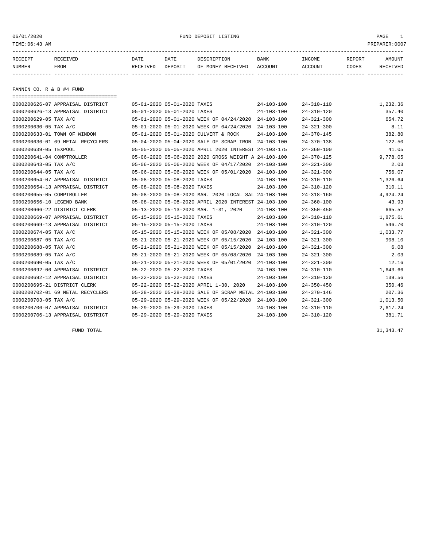### 06/01/2020 FUND DEPOSIT LISTING PAGE 1

| RECEIPT | RECEIVED | DATE     | DATE    | DESCRIPTION          | <b>BANK</b>    | INCOME  | REPORT       | AMOUNT   |
|---------|----------|----------|---------|----------------------|----------------|---------|--------------|----------|
| NUMBER  | FROM     | RECEIVED | DEPOSIT | RECEIVED<br>OF MONEY | <b>ACCOUNT</b> | ACCOUNT | <b>TODES</b> | RECEIVED |
|         |          |          |         |                      |                |         |              |          |

FANNIN CO. R & B #4 FUND

|                           | ====================================== |                             |                             |                                                      |                  |                  |          |
|---------------------------|----------------------------------------|-----------------------------|-----------------------------|------------------------------------------------------|------------------|------------------|----------|
|                           | 0000200626-07 APPRAISAL DISTRICT       | 05-01-2020 05-01-2020 TAXES |                             |                                                      | $24 - 103 - 100$ | $24 - 310 - 110$ | 1,232.36 |
|                           | 0000200626-13 APPRAISAL DISTRICT       | 05-01-2020 05-01-2020 TAXES |                             |                                                      | $24 - 103 - 100$ | $24 - 310 - 120$ | 357.40   |
| 0000200629-05 TAX A/C     |                                        |                             |                             | 05-01-2020 05-01-2020 WEEK OF 04/24/2020 24-103-100  |                  | $24 - 321 - 300$ | 654.72   |
| 0000200630-05 TAX A/C     |                                        |                             |                             | 05-01-2020 05-01-2020 WEEK OF 04/24/2020             | $24 - 103 - 100$ | $24 - 321 - 300$ | 8.11     |
|                           | 0000200633-01 TOWN OF WINDOM           |                             |                             | 05-01-2020 05-01-2020 CULVERT & ROCK                 | $24 - 103 - 100$ | $24 - 370 - 145$ | 382.80   |
|                           | 0000200636-01 69 METAL RECYCLERS       |                             |                             | 05-04-2020 05-04-2020 SALE OF SCRAP IRON             | 24-103-100       | $24 - 370 - 138$ | 122.50   |
| 0000200639-05 TEXPOOL     |                                        |                             |                             | 05-05-2020 05-05-2020 APRIL 2020 INTEREST 24-103-175 |                  | $24 - 360 - 100$ | 41.05    |
| 0000200641-04 COMPTROLLER |                                        |                             |                             | 05-06-2020 05-06-2020 2020 GROSS WEIGHT A 24-103-100 |                  | $24 - 370 - 125$ | 9,778.05 |
| 0000200643-05 TAX A/C     |                                        |                             |                             | 05-06-2020 05-06-2020 WEEK OF 04/17/2020             | 24-103-100       | $24 - 321 - 300$ | 2.03     |
| 0000200644-05 TAX A/C     |                                        |                             |                             | 05-06-2020 05-06-2020 WEEK OF 05/01/2020 24-103-100  |                  | $24 - 321 - 300$ | 756.07   |
|                           | 0000200654-07 APPRAISAL DISTRICT       |                             | 05-08-2020 05-08-2020 TAXES |                                                      | $24 - 103 - 100$ | $24 - 310 - 110$ | 1,326.64 |
|                           | 0000200654-13 APPRAISAL DISTRICT       | 05-08-2020 05-08-2020 TAXES |                             |                                                      | $24 - 103 - 100$ | $24 - 310 - 120$ | 310.11   |
| 0000200655-05 COMPTROLLER |                                        |                             |                             | 05-08-2020 05-08-2020 MAR. 2020 LOCAL SAL 24-103-100 |                  | $24 - 318 - 160$ | 4,924.24 |
| 0000200656-10 LEGEND BANK |                                        |                             |                             | 05-08-2020 05-08-2020 APRIL 2020 INTEREST 24-103-100 |                  | $24 - 360 - 100$ | 43.93    |
|                           | 0000200666-22 DISTRICT CLERK           |                             |                             | 05-13-2020 05-13-2020 MAR. 1-31, 2020                | $24 - 103 - 100$ | $24 - 350 - 450$ | 665.52   |
|                           | 0000200669-07 APPRAISAL DISTRICT       | 05-15-2020 05-15-2020 TAXES |                             |                                                      | $24 - 103 - 100$ | $24 - 310 - 110$ | 1,875.61 |
|                           | 0000200669-13 APPRAISAL DISTRICT       | 05-15-2020 05-15-2020 TAXES |                             |                                                      | $24 - 103 - 100$ | $24 - 310 - 120$ | 546.70   |
| 0000200674-05 TAX A/C     |                                        |                             |                             | 05-15-2020 05-15-2020 WEEK OF 05/08/2020             | 24-103-100       | $24 - 321 - 300$ | 1,033.77 |
| 0000200687-05 TAX A/C     |                                        |                             |                             | 05-21-2020 05-21-2020 WEEK OF 05/15/2020             | 24-103-100       | $24 - 321 - 300$ | 908.10   |
| 0000200688-05 TAX A/C     |                                        |                             |                             | 05-21-2020 05-21-2020 WEEK OF 05/15/2020             | $24 - 103 - 100$ | $24 - 321 - 300$ | 6.08     |
| 0000200689-05 TAX A/C     |                                        |                             |                             | 05-21-2020 05-21-2020 WEEK OF 05/08/2020             | $24 - 103 - 100$ | $24 - 321 - 300$ | 2.03     |
| 0000200690-05 TAX A/C     |                                        |                             |                             | 05-21-2020 05-21-2020 WEEK OF 05/01/2020             | 24-103-100       | $24 - 321 - 300$ | 12.16    |
|                           | 0000200692-06 APPRAISAL DISTRICT       |                             | 05-22-2020 05-22-2020 TAXES |                                                      | $24 - 103 - 100$ | $24 - 310 - 110$ | 1,643.66 |
|                           | 0000200692-12 APPRAISAL DISTRICT       | 05-22-2020 05-22-2020 TAXES |                             |                                                      | $24 - 103 - 100$ | $24 - 310 - 120$ | 139.56   |
|                           | 0000200695-21 DISTRICT CLERK           |                             |                             | 05-22-2020 05-22-2020 APRIL 1-30, 2020               | $24 - 103 - 100$ | $24 - 350 - 450$ | 350.46   |
|                           | 0000200702-01 69 METAL RECYCLERS       |                             |                             | 05-28-2020 05-28-2020 SALE OF SCRAP METAL 24-103-100 |                  | $24 - 370 - 146$ | 207.36   |
| 0000200703-05 TAX A/C     |                                        |                             |                             | 05-29-2020 05-29-2020 WEEK OF 05/22/2020             | 24-103-100       | $24 - 321 - 300$ | 1,013.50 |
|                           | 0000200706-07 APPRAISAL DISTRICT       |                             | 05-29-2020 05-29-2020 TAXES |                                                      | $24 - 103 - 100$ | $24 - 310 - 110$ | 2,617.24 |
|                           | 0000200706-13 APPRAISAL DISTRICT       | 05-29-2020 05-29-2020 TAXES |                             |                                                      | $24 - 103 - 100$ | $24 - 310 - 120$ | 381.71   |

FUND TOTAL  $31,343.47$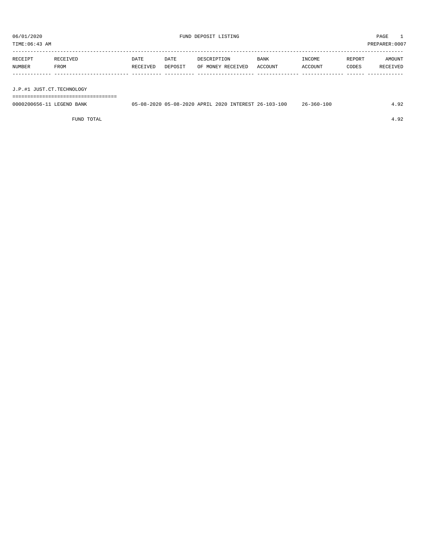| RECEIPT | RECEIVED | DATE     | DATE    | DESCRIPTION       | BANK    | INCOME  | REPORT | AMOUNT   |
|---------|----------|----------|---------|-------------------|---------|---------|--------|----------|
| NUMBER  | FROM     | RECEIVED | DEPOSIT | OF MONEY RECEIVED | ACCOUNT | ACCOUNT | CODES  | RECEIVED |
|         |          |          |         |                   |         |         |        |          |
|         |          |          |         |                   |         |         |        |          |

J.P.#1 JUST.CT.TECHNOLOGY

===================================

| 0000200656-3<br>BANK<br>. BIGEBIN D | 05-08-2020<br>" -08–2ບ.<br>າ∩າ∩<br>$\sim$ $\sim$ | 2020<br>A DR TT. | INTEREST | ነ በ 3 – 1<br>$\sim$<br>$2h -$ | 10 C<br>360-<br>$26 -$ |  |
|-------------------------------------|--------------------------------------------------|------------------|----------|-------------------------------|------------------------|--|
|                                     |                                                  |                  |          |                               |                        |  |

FUND TOTAL 4.92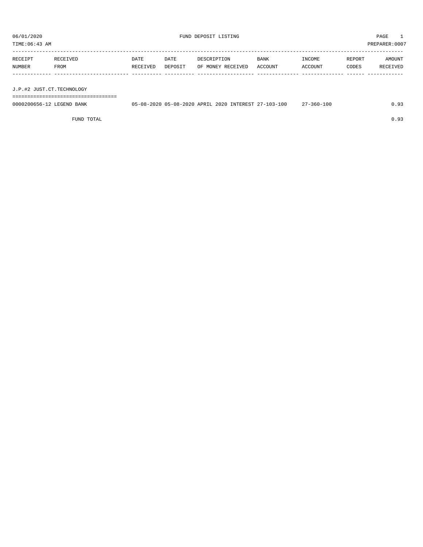TIME:06:43 AM PREPARER:0007

| RECEIPT | RECEIVED | DATE     | DATE    | DESCRIPTION       | <b>BANK</b> | INCOME  | REPORT | AMOUNT   |
|---------|----------|----------|---------|-------------------|-------------|---------|--------|----------|
| NUMBER  | FROM     | RECEIVED | DEPOSIT | OF MONEY RECEIVED | ACCOUNT     | ACCOUNT | CODES  | RECEIVED |
|         |          |          |         |                   |             |         |        |          |
|         |          |          |         |                   |             |         |        |          |

J.P.#2 JUST.CT.TECHNOLOGY

===================================

| 0000200656-12 LEGEND BANK | 05-08-2020 05-08-2020 APRIL 2020 INTEREST 27-103-100 |  | $27 - 360 - 100$ | 0.93 |
|---------------------------|------------------------------------------------------|--|------------------|------|
|                           |                                                      |  |                  |      |

FUND TOTAL  $0.93$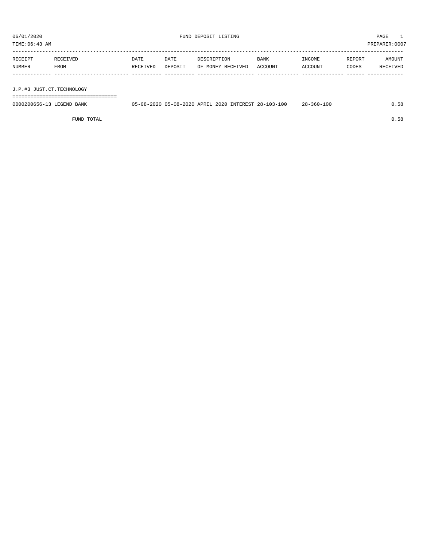| RECEIPT | RECEIVED | <b>DATE</b> | DATE    | DESCRIPTION               | <b>BANK</b> | INCOME  | REPORT | AMOUNT   |
|---------|----------|-------------|---------|---------------------------|-------------|---------|--------|----------|
| NUMBER  | FROM     | RECEIVED    | DEPOSIT | OF MONEY RECEIVED ACCOUNT |             | ACCOUNT | CODES  | RECEIVED |
|         |          |             |         |                           |             |         |        |          |
|         |          |             |         |                           |             |         |        |          |

J.P.#3 JUST.CT.TECHNOLOGY

===================================

| 0000200656-13 LEGEND BANK | 05-08-2020 05-08-2020 APRIL 2020 INTEREST 28-103-100 |  | $28 - 360 - 100$ | .58 |
|---------------------------|------------------------------------------------------|--|------------------|-----|
|                           |                                                      |  |                  |     |

FUND TOTAL  $0.58$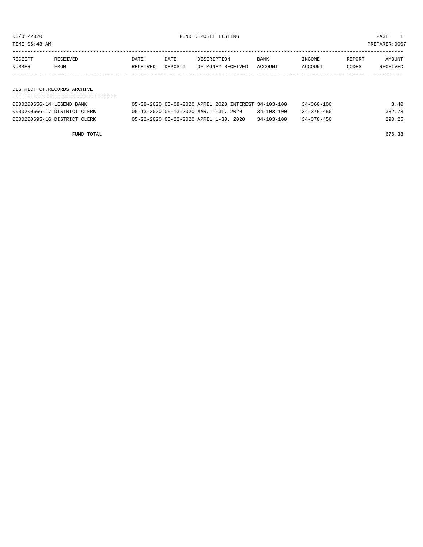06/01/2020 FUND DEPOSIT LISTING PAGE 1

| RECEIPT | RECEIVED    | DATE     | DATE    | DESCRIPTION               | BANK | INCOME  | REPORT | AMOUNT   |
|---------|-------------|----------|---------|---------------------------|------|---------|--------|----------|
| NUMBER  | <b>FROM</b> | RECEIVED | DEPOSIT | OF MONEY RECEIVED ACCOUNT |      | ACCOUNT | CODES  | RECEIVED |
|         |             |          |         |                           |      |         |        |          |

DISTRICT CT.RECORDS ARCHIVE

| 0000200656-14 LEGEND BANK    | 05-08-2020 05-08-2020 APRIL 2020 INTEREST 34-103-100 |                  | $34 - 360 - 100$ | 3.40   |
|------------------------------|------------------------------------------------------|------------------|------------------|--------|
| 0000200666-17 DISTRICT CLERK | 05-13-2020 05-13-2020 MAR. 1-31, 2020                | $34 - 103 - 100$ | $34 - 370 - 450$ | 382.73 |
| 0000200695-16 DISTRICT CLERK | 05-22-2020 05-22-2020 APRIL 1-30, 2020               | $34 - 103 - 100$ | $34 - 370 - 450$ | 290.25 |

FUND TOTAL 676.38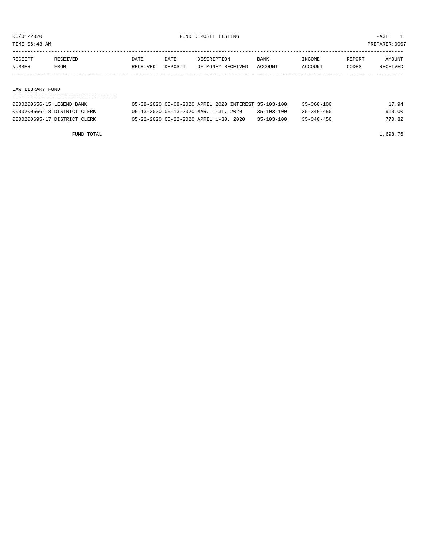TIME:06:43 AM PREPARER:0007

| RECEIPT | RECEIVED | DATE     | DATE    | DESCRIPTION       | <b>BANK</b>    | <b>INCOME</b> | REPORT | AMOUNT          |
|---------|----------|----------|---------|-------------------|----------------|---------------|--------|-----------------|
| NUMBER  | FROM     | RECEIVED | DEPOSIT | OF MONEY RECEIVED | <b>ACCOUNT</b> | CCOUNT        | CODES  | <b>RECEIVED</b> |
|         |          |          |         |                   |                |               |        |                 |

#### LAW LIBRARY FUND

| 0000200656-15 LEGEND BANK    |                                        | 05-08-2020 05-08-2020 APRIL 2020 INTEREST 35-103-100 |                  | 35-360-100       | 17.94  |
|------------------------------|----------------------------------------|------------------------------------------------------|------------------|------------------|--------|
| 0000200666-18 DISTRICT CLERK | 05-13-2020 05-13-2020 MAR. 1-31, 2020  |                                                      | $35 - 103 - 100$ | $35 - 340 - 450$ | 910.00 |
| 0000200695-17 DISTRICT CLERK | 05-22-2020 05-22-2020 APRIL 1-30, 2020 |                                                      | $35 - 103 - 100$ | $35 - 340 - 450$ | 770.82 |

FUND TOTAL 1,698.76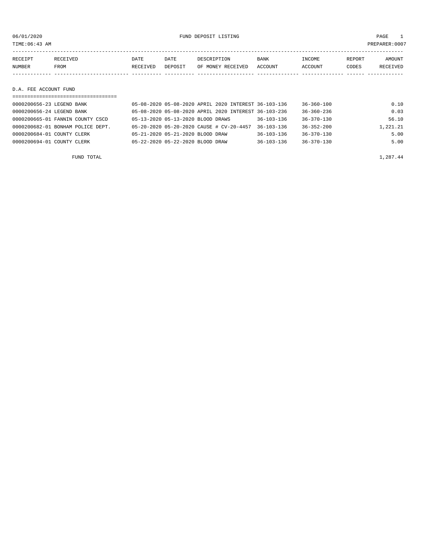TIME:06:43 AM PREPARER:0007

| RECEIPT | RECEIVED | DATE     | DATE    | DESCRIPTION       | <b>BANK</b> | <b>INCOME</b> | <b>REPORT</b> | <b>AMOUNT</b>   |
|---------|----------|----------|---------|-------------------|-------------|---------------|---------------|-----------------|
| NUMBER  | FROM     | RECEIVED | DEPOSIT | OF MONEY RECEIVED | ACCOUNT     | ACCOUNT       | CODES         | <b>RECEIVED</b> |
|         |          |          |         |                   |             |               |               |                 |

#### D.A. FEE ACCOUNT FUND

| =================================== |                                   |                                                      |                  |                  |          |
|-------------------------------------|-----------------------------------|------------------------------------------------------|------------------|------------------|----------|
| 0000200656-23 LEGEND BANK           |                                   | 05-08-2020 05-08-2020 APRIL 2020 INTEREST 36-103-136 |                  | $36 - 360 - 100$ | 0.10     |
| 0000200656-24 LEGEND BANK           |                                   | 05-08-2020 05-08-2020 APRIL 2020 INTEREST 36-103-236 |                  | $36 - 360 - 236$ | 0.03     |
| 0000200665-01 FANNIN COUNTY CSCD    | 05-13-2020 05-13-2020 BLOOD DRAWS |                                                      | $36 - 103 - 136$ | $36 - 370 - 130$ | 56.10    |
| 0000200682-01 BONHAM POLICE DEPT.   |                                   | 05-20-2020 05-20-2020 CAUSE # CV-20-4457             | $36 - 103 - 136$ | $36 - 352 - 200$ | 1,221.21 |
| 0000200684-01 COUNTY CLERK          | 05-21-2020 05-21-2020 BLOOD DRAW  |                                                      | $36 - 103 - 136$ | $36 - 370 - 130$ | 5.00     |
| 0000200694-01 COUNTY CLERK          | 05-22-2020 05-22-2020 BLOOD DRAW  |                                                      | $36 - 103 - 136$ | 36-370-130       | 5.00     |
|                                     |                                   |                                                      |                  |                  |          |

FUND TOTAL  $1,287.44$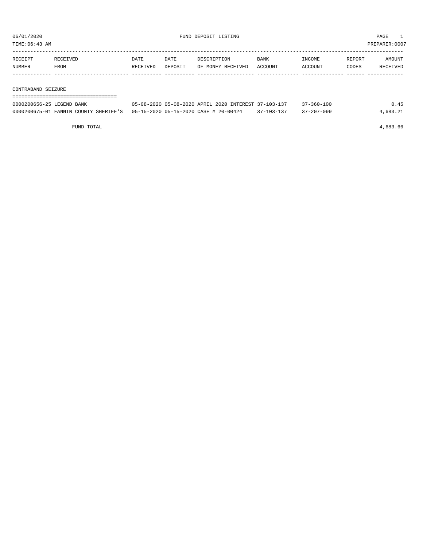TIME:06:43 AM PREPARER:0007

| RECEIPT | RECEIVED | DATE     | DATE    | DESCRIPTION       | <b>BANK</b> | INCOME  | REPORT | AMOUNT   |
|---------|----------|----------|---------|-------------------|-------------|---------|--------|----------|
| NUMBER  | FROM     | RECEIVED | DEPOSIT | OF MONEY RECEIVED | ACCOUNT     | ACCOUNT | CODES  | RECEIVED |
|         |          |          |         |                   |             |         |        |          |
|         |          |          |         |                   |             |         |        |          |

CONTRABAND SEIZURE

| 0000200656-25 LEGEND BANK                                                    | 05-08-2020 05-08-2020 APRIL 2020 INTEREST 37-103-137 |            | $37 - 360 - 100$ | 0.45     |
|------------------------------------------------------------------------------|------------------------------------------------------|------------|------------------|----------|
| 0000200675-01 FANNIN COUNTY SHERIFF'S  05-15-2020 05-15-2020 CASE # 20-00424 |                                                      | 37-103-137 | $37 - 207 - 099$ | 4,683.21 |

FUND TOTAL 4,683.66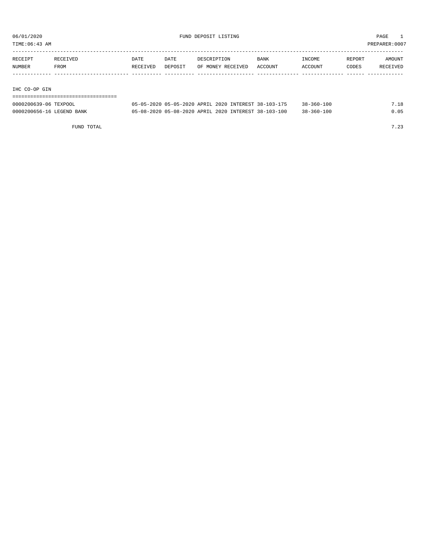TIME:06:43 AM PREPARER:0007

| RECEIPT | RECEIVED | DATE     | DATE    | DESCRIPTION       | BANK    | INCOME  | REPORT | AMOUNT   |
|---------|----------|----------|---------|-------------------|---------|---------|--------|----------|
| NUMBER  | FROM     | RECEIVED | DEPOSIT | OF MONEY RECEIVED | ACCOUNT | ACCOUNT | CODES  | RECEIVED |
|         |          |          |         |                   |         |         |        |          |
|         |          |          |         |                   |         |         |        |          |

IHC CO-OP GIN

===================================

| 0000200639-06 TEXPOOL     | 05-05-2020 05-05-2020 APRIL 2020 INTEREST 38-103-175 | $38 - 360 - 100$ | 7.18 |
|---------------------------|------------------------------------------------------|------------------|------|
| 0000200656-16 LEGEND BANK | 05-08-2020 05-08-2020 APRIL 2020 INTEREST 38-103-100 | $38 - 360 - 100$ | 0.05 |

FUND TOTAL  $7.23$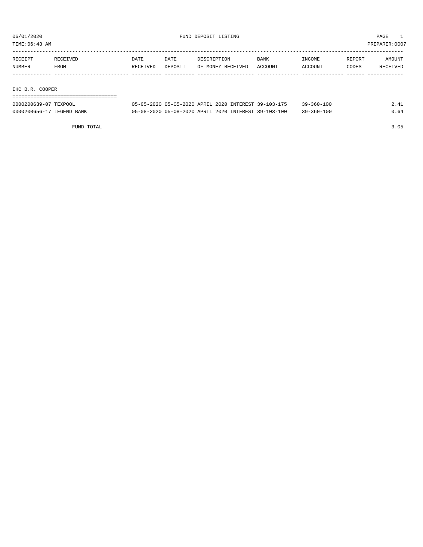TIME:06:43 AM PREPARER:0007

| RECEIPT | RECEIVED    | DATE     | DATE    | DESCRIPTION       | <b>BANK</b> | INCOME  | REPORT | AMOUNT   |
|---------|-------------|----------|---------|-------------------|-------------|---------|--------|----------|
| NUMBER  | <b>FROM</b> | RECEIVED | DEPOSIT | OF MONEY RECEIVED | ACCOUNT     | ACCOUNT | CODES  | RECEIVED |
|         |             |          |         |                   |             |         |        |          |

IHC B.R. COOPER

| -------------------------------------<br>------------------------------------- |  |  |  |  |  |  |  |  |  |  |  |  |  |  |  |  |  |
|--------------------------------------------------------------------------------|--|--|--|--|--|--|--|--|--|--|--|--|--|--|--|--|--|

| 0000200639-07 TEXPOOL     | 05-05-2020 05-05-2020 APRIL 2020 INTEREST 39-103-175 | $39 - 360 - 100$ | 2.41 |
|---------------------------|------------------------------------------------------|------------------|------|
| 0000200656-17 LEGEND BANK | 05-08-2020 05-08-2020 APRIL 2020 INTEREST 39-103-100 | $39 - 360 - 100$ | 0.64 |

FUND TOTAL 3.05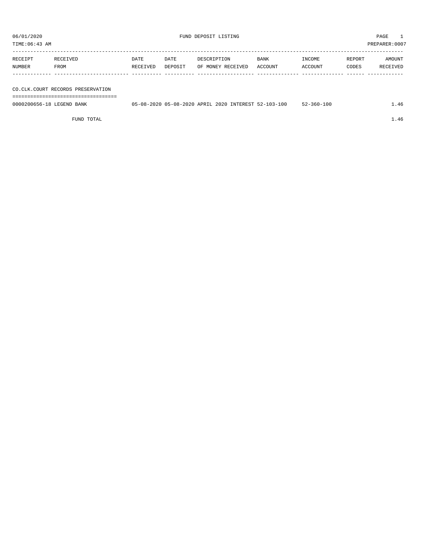TIME:06:43 AM PREPARER:0007

| RECEIPT | RECEIVED    | DATE     | DATE    | DESCRIPTION       | <b>BANK</b> | INCOME  | REPORT | AMOUNT   |
|---------|-------------|----------|---------|-------------------|-------------|---------|--------|----------|
| NUMBER  | <b>FROM</b> | RECEIVED | DEPOSIT | OF MONEY RECEIVED | ACCOUNT     | ACCOUNT | CODES  | RECEIVED |
|         |             |          |         |                   |             |         |        |          |
|         |             |          |         |                   |             |         |        |          |

CO.CLK.COURT RECORDS PRESERVATION

===================================

| 0000200656-18 LEGEND<br>BANK | 05-08-2020 05-08-2020 APRIL 2020 INTEREST 52-103-100 |  | 52-360-100 | $\pm 0.46$<br>$\sim$ $\sim$ $\sim$ |
|------------------------------|------------------------------------------------------|--|------------|------------------------------------|
|                              |                                                      |  |            |                                    |

FUND TOTAL  $1.46$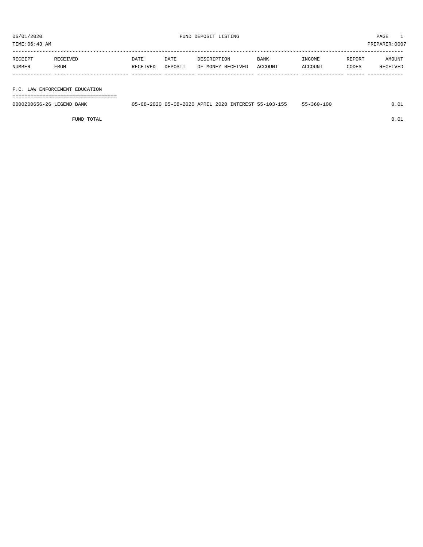TIME:06:43 AM PREPARER:0007

| RECEIPT | RECEIVED    | DATE     | DATE    | DESCRIPTION       | <b>BANK</b> | INCOME         | REPORT | AMOUNT   |
|---------|-------------|----------|---------|-------------------|-------------|----------------|--------|----------|
| NUMBER  | <b>FROM</b> | RECEIVED | DEPOSIT | OF MONEY RECEIVED | ACCOUNT     | <b>ACCOUNT</b> | CODES  | RECEIVED |
|         |             |          |         |                   |             |                |        |          |

#### F.C. LAW ENFORCEMENT EDUCATION

===================================

| 0000200656-26 LEGEND BANK | 05-08-2020 05-08-2020 APRIL 2020 1 |  | J INTEREST 55-103-155 | -360-100 |  |
|---------------------------|------------------------------------|--|-----------------------|----------|--|
|                           |                                    |  |                       |          |  |

FUND TOTAL  $0.01$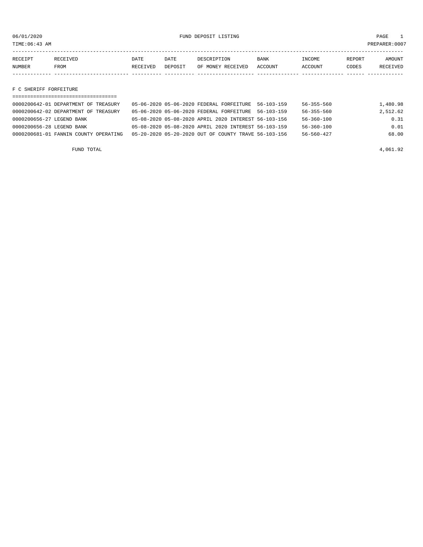06/01/2020 FUND DEPOSIT LISTING PAGE 1

| RECEIPT | RECEIVED | DATE     | DATE    | DESCRIPTION       | <b>BANK</b> | INCOME  | REPORT | AMOUNT          |
|---------|----------|----------|---------|-------------------|-------------|---------|--------|-----------------|
| NUMBER  | FROM     | RECEIVED | DEPOSIT | OF MONEY RECEIVED | ACCOUNT     | ACCOUNT | CODES  | <b>RECEIVED</b> |
|         |          |          |         |                   |             |         |        |                 |

F C SHERIFF FORFEITURE

| 0000200642-01 DEPARTMENT OF TREASURY  | 05-06-2020 05-06-2020 FEDERAL FORFEITURE             | $56 - 103 - 159$ | 56-355-560       | 1,480.98 |
|---------------------------------------|------------------------------------------------------|------------------|------------------|----------|
| 0000200642-02 DEPARTMENT OF TREASURY  | 05-06-2020 05-06-2020 FEDERAL FORFEITURE             | $56 - 103 - 159$ | $56 - 355 - 560$ | 2,512.62 |
| 0000200656-27 LEGEND BANK             | 05-08-2020 05-08-2020 APRIL 2020 INTEREST 56-103-156 |                  | $56 - 360 - 100$ | 0.31     |
| 0000200656-28 LEGEND BANK             | 05-08-2020 05-08-2020 APRIL 2020 INTEREST 56-103-159 |                  | $56 - 360 - 100$ | 0.01     |
| 0000200681-01 FANNIN COUNTY OPERATING | 05-20-2020 05-20-2020 OUT OF COUNTY TRAVE 56-103-156 |                  | $56 - 560 - 427$ | 68.00    |
|                                       |                                                      |                  |                  |          |

FUND TOTAL  $4,061.92$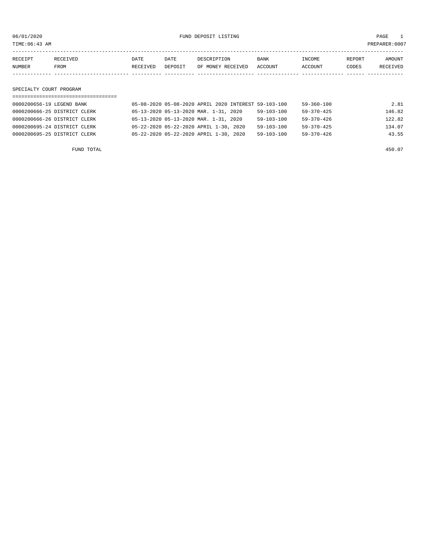06/01/2020 FUND DEPOSIT LISTING PAGE 1

| RECEIPT | <b>RECEIVED</b> | DATE            | DATE    | DESCRIPTION       | <b>BANK</b> | <b>TNCOME</b> | REPORT | AMOUNT          |
|---------|-----------------|-----------------|---------|-------------------|-------------|---------------|--------|-----------------|
| NUMBER  | FROM            | <b>RECEIVED</b> | DEPOSIT | OF MONEY RECEIVED | ACCOUNT     | ACCOUNT       | CODES  | <b>RECEIVED</b> |
|         |                 |                 |         |                   |             |               |        |                 |

SPECIALTY COURT PROGRAM

| 0000200656-19 LEGEND BANK    | 05-08-2020 05-08-2020 APRIL 2020 INTEREST 59-103-100 |  |                  | $59 - 360 - 100$ | 2.81   |
|------------------------------|------------------------------------------------------|--|------------------|------------------|--------|
| 0000200666-25 DISTRICT CLERK | 05-13-2020 05-13-2020 MAR. 1-31, 2020                |  | $59 - 103 - 100$ | $59 - 370 - 425$ | 146.82 |
| 0000200666-26 DISTRICT CLERK | 05-13-2020 05-13-2020 MAR. 1-31, 2020                |  | $59 - 103 - 100$ | $59 - 370 - 426$ | 122.82 |
| 0000200695-24 DISTRICT CLERK | 05-22-2020 05-22-2020 APRIL 1-30, 2020               |  | $59 - 103 - 100$ | $59 - 370 - 425$ | 134.07 |
| 0000200695-25 DISTRICT CLERK | 05-22-2020 05-22-2020 APRIL 1-30, 2020               |  | $59 - 103 - 100$ | $59 - 370 - 426$ | 43.55  |
|                              |                                                      |  |                  |                  |        |

FUND TOTAL 450.07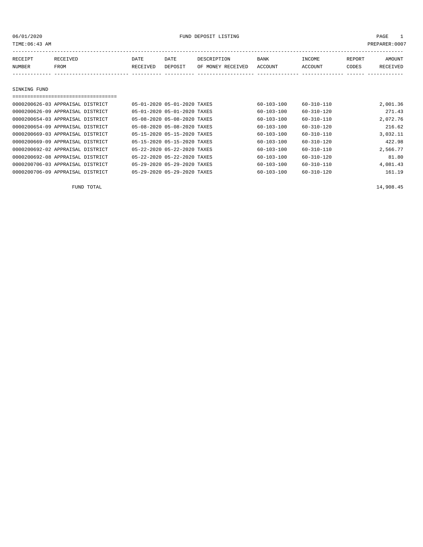06/01/2020 PAGE 1

| TIME: 06:43 AM |                                  |          |                             |                   |                  |                  |        | PREPARER:0007 |
|----------------|----------------------------------|----------|-----------------------------|-------------------|------------------|------------------|--------|---------------|
| RECEIPT        | RECEIVED                         | DATE     | DATE                        | DESCRIPTION       | BANK             | INCOME           | REPORT | AMOUNT        |
| NUMBER         | FROM                             | RECEIVED | DEPOSIT                     | OF MONEY RECEIVED | ACCOUNT          | ACCOUNT          | CODES  | RECEIVED      |
|                |                                  |          |                             |                   |                  |                  |        |               |
| SINKING FUND   |                                  |          |                             |                   |                  |                  |        |               |
|                |                                  |          |                             |                   |                  |                  |        |               |
|                | 0000200626-03 APPRAISAL DISTRICT |          | 05-01-2020 05-01-2020 TAXES |                   | 60-103-100       | $60 - 310 - 110$ |        | 2,001.36      |
|                | 0000200626-09 APPRAISAL DISTRICT |          | 05-01-2020 05-01-2020 TAXES |                   | $60 - 103 - 100$ | $60 - 310 - 120$ |        | 271.43        |
|                | 0000200654-03 APPRAISAL DISTRICT |          | 05-08-2020 05-08-2020 TAXES |                   | $60 - 103 - 100$ | $60 - 310 - 110$ |        | 2,072.76      |
|                | 0000200654-09 APPRAISAL DISTRICT |          | 05-08-2020 05-08-2020 TAXES |                   | $60 - 103 - 100$ | $60 - 310 - 120$ |        | 216.62        |
|                | 0000200669-03 APPRAISAL DISTRICT |          | 05-15-2020 05-15-2020 TAXES |                   | $60 - 103 - 100$ | $60 - 310 - 110$ |        | 3,032.11      |
|                | 0000200669-09 APPRAISAL DISTRICT |          | 05-15-2020 05-15-2020 TAXES |                   | $60 - 103 - 100$ | $60 - 310 - 120$ |        | 422.98        |
|                | 0000200692-02 APPRAISAL DISTRICT |          | 05-22-2020 05-22-2020 TAXES |                   | $60 - 103 - 100$ | $60 - 310 - 110$ |        | 2,566.77      |
|                | 0000200692-08 APPRAISAL DISTRICT |          | 05-22-2020 05-22-2020 TAXES |                   | $60 - 103 - 100$ | $60 - 310 - 120$ |        | 81.80         |
|                | 0000200706-03 APPRAISAL DISTRICT |          | 05-29-2020 05-29-2020 TAXES |                   | $60 - 103 - 100$ | $60 - 310 - 110$ |        | 4,081.43      |
|                | 0000200706-09 APPRAISAL DISTRICT |          | 05-29-2020 05-29-2020 TAXES |                   | $60 - 103 - 100$ | $60 - 310 - 120$ |        | 161.19        |

FUND TOTAL 14,908.45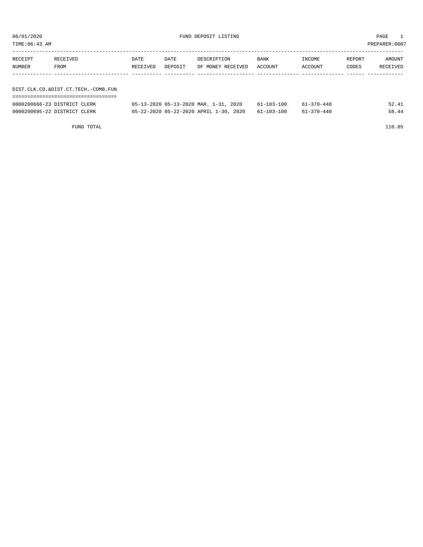TIME:06:43 AM PREPARER:0007

| RECEIPT                             | RECEIVED | DATE     | DATE    | DESCRIPTION       | BANK    | INCOME  | REPORT | AMOUNT   |  |
|-------------------------------------|----------|----------|---------|-------------------|---------|---------|--------|----------|--|
| NUMBER                              | FROM     | RECEIVED | DEPOSIT | OF MONEY RECEIVED | ACCOUNT | ACCOUNT | CODES  | RECEIVED |  |
|                                     |          |          |         |                   |         |         |        |          |  |
|                                     |          |          |         |                   |         |         |        |          |  |
| DIST.CLK.CO.&DIST.CT.TECH.-COMB.FUN |          |          |         |                   |         |         |        |          |  |
|                                     |          |          |         |                   |         |         |        |          |  |

| 0000200666-23 DISTRICT CLERK | 05-13-2020 05-13-2020 MAR. 1-31, 2020             | 61-103-100 | $61 - 370 - 440$ | 52.41 |
|------------------------------|---------------------------------------------------|------------|------------------|-------|
| 0000200695-22 DISTRICT CLERK | 05-22-2020 05-22-2020 APRIL 1-30, 2020 61-103-100 |            | 61-370-440       | 58.44 |

FUND TOTAL 110.85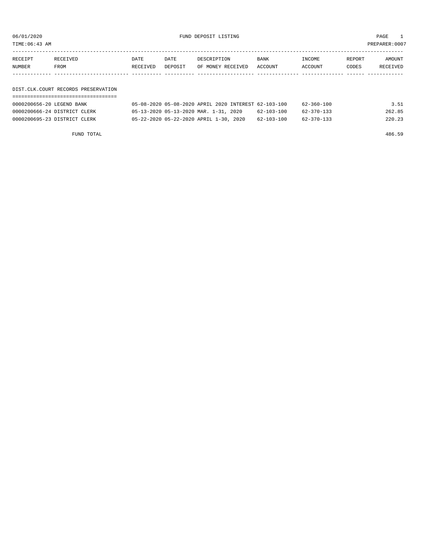06/01/2020 FUND DEPOSIT LISTING PAGE 1

| RECEIPT | RECEIVED | DATE     | DATE    | DESCRIPTION               | BANK | INCOME  | REPORT | AMOUNT   |
|---------|----------|----------|---------|---------------------------|------|---------|--------|----------|
| NUMBER  | FROM     | RECEIVED | DEPOSIT | OF MONEY RECEIVED ACCOUNT |      | ACCOUNT | CODES  | RECEIVED |
|         |          |          |         |                           |      |         |        |          |

#### DIST.CLK.COURT RECORDS PRESERVATION ===================================

| 0000200656-20 LEGEND BANK    |                                        |  |  | 05-08-2020 05-08-2020 APRIL 2020 INTEREST 62-103-100 | $62 - 360 - 100$ | 3.51   |
|------------------------------|----------------------------------------|--|--|------------------------------------------------------|------------------|--------|
| 0000200666-24 DISTRICT CLERK | 05-13-2020 05-13-2020 MAR. 1-31, 2020  |  |  | 62-103-100                                           | 62-370-133       | 262.85 |
| 0000200695-23 DISTRICT CLERK | 05-22-2020 05-22-2020 APRIL 1-30, 2020 |  |  | 62-103-100                                           | 62-370-133       | 220.23 |

FUND TOTAL 486.59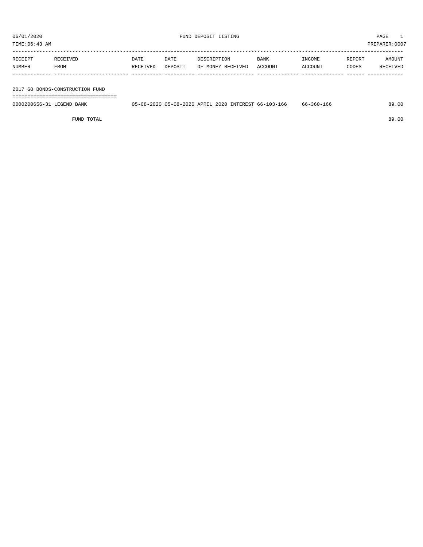TIME:06:43 AM PREPARER:0007

| RECEIPT | RECEIVED    | DATE     | DATE    | DESCRIPTION       | <b>BANK</b> | INCOME  | REPORT | AMOUNT   |
|---------|-------------|----------|---------|-------------------|-------------|---------|--------|----------|
| NUMBER  | <b>FROM</b> | RECEIVED | DEPOSIT | OF MONEY RECEIVED | ACCOUNT     | ACCOUNT | CODES  | RECEIVED |
|         |             |          |         |                   |             |         |        |          |
|         |             |          |         |                   |             |         |        |          |

2017 GO BONDS-CONSTRUCTION FUND

===================================

| 0000200656-31<br>BANK<br>. FIGERIND | $\cap$<br>$-08 - 20$<br>ിರ− | 2020<br>ADRT <sub>1</sub> | 2020<br><b>TMMMMMM</b><br>ERES. | $h -$<br>$-100$ | 36U-<br>bb<br>エロヒ | 00<br>89 |
|-------------------------------------|-----------------------------|---------------------------|---------------------------------|-----------------|-------------------|----------|
|                                     |                             |                           |                                 |                 |                   |          |

FUND TOTAL 89.00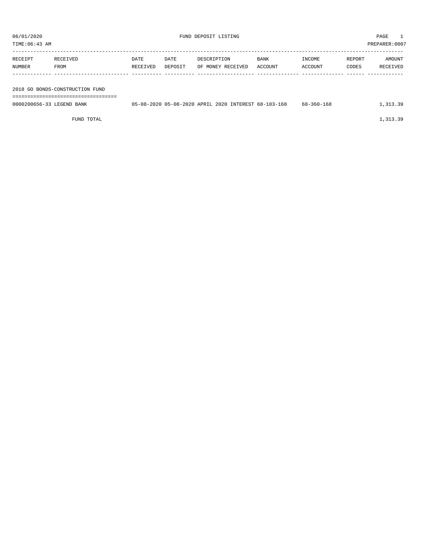| TIME:06:43 | 000       |
|------------|-----------|
| AM         | PREPARER. |
|            | ∵∪∪∪      |
|            |           |

| RECEIPT | RECEIVED | DATE     | DATE    | DESCRIPTION       | BANK    | INCOME  | REPORT | AMOUNT   |
|---------|----------|----------|---------|-------------------|---------|---------|--------|----------|
| NUMBER  | FROM     | RECEIVED | DEPOSIT | OF MONEY RECEIVED | ACCOUNT | ACCOUNT | CODES  | RECEIVED |
|         |          |          |         |                   |         |         |        |          |
|         |          |          |         |                   |         |         |        |          |

2018 GO BONDS-CONSTRUCTION FUND

===================================

| 0000200656-33 LEGEND BANK | 05-08-2020 05-08-2020 APRIL 2020 INTEREST 68-103-168 |  | 68-360-168 | 1,313.39 |
|---------------------------|------------------------------------------------------|--|------------|----------|
|                           |                                                      |  |            |          |

FUND TOTAL  $1,313.39$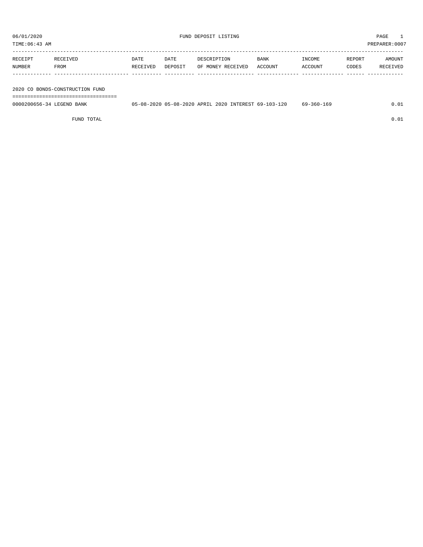TIME:06:43 AM PREPARER:0007

| RECEIPT | RECEIVED | <b>DATE</b> | DATE    | DESCRIPTION       | BANK    | INCOME  | REPORT | AMOUNT   |
|---------|----------|-------------|---------|-------------------|---------|---------|--------|----------|
| NUMBER  | FROM     | RECEIVED    | DEPOSIT | OF MONEY RECEIVED | ACCOUNT | ACCOUNT | CODES  | RECEIVED |
|         |          |             |         |                   |         |         |        |          |

2020 CO BONDS-CONSTRUCTION FUND

===================================

| 0000200656-34 LEGEND BANK |  |  | 05-08-2020 05-08-2020 APRIL 2020 INTEREST 69-103-120 | $69 - 360 - 169$ | 0.01 |
|---------------------------|--|--|------------------------------------------------------|------------------|------|
|                           |  |  |                                                      |                  |      |

FUND TOTAL  $0.01$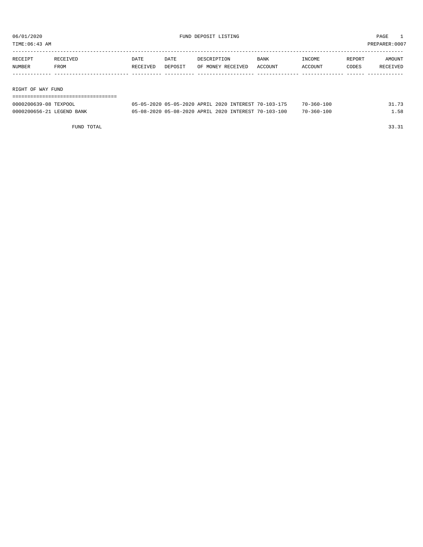TIME:06:43 AM PREPARER:0007

| RECEIPT           | RECEIVED | DATE     | DATE    | DESCRIPTION       | <b>BANK</b> | INCOME  | REPORT | AMOUNT   |  |  |  |  |
|-------------------|----------|----------|---------|-------------------|-------------|---------|--------|----------|--|--|--|--|
| NUMBER            | FROM     | RECEIVED | DEPOSIT | OF MONEY RECEIVED | ACCOUNT     | ACCOUNT | CODES  | RECEIVED |  |  |  |  |
|                   |          |          |         |                   |             |         |        |          |  |  |  |  |
|                   |          |          |         |                   |             |         |        |          |  |  |  |  |
| RIGHT OF WAY FUND |          |          |         |                   |             |         |        |          |  |  |  |  |
|                   |          |          |         |                   |             |         |        |          |  |  |  |  |

| 0000200639-08 TEXPOOL     | 05-05-2020 05-05-2020 APRIL 2020 INTEREST 70-103-175 |  | $70 - 360 - 100$ | 31.73 |
|---------------------------|------------------------------------------------------|--|------------------|-------|
| 0000200656-21 LEGEND BANK | 05-08-2020 05-08-2020 APRIL 2020 INTEREST 70-103-100 |  | 70-360-100       | .58   |

FUND TOTAL 33.31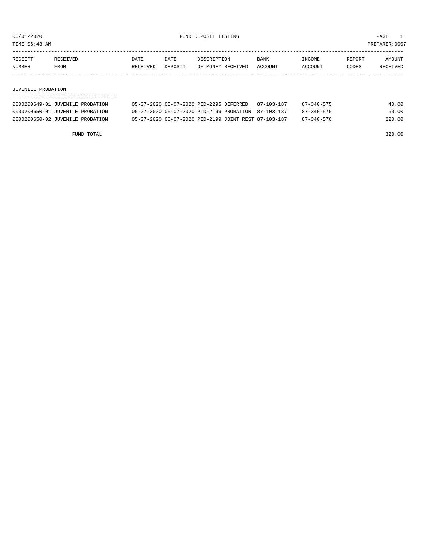TIME:06:43 AM PREPARER:0007

| RECEIPT       | RECEIVED | DATE     | DATE    | DESCRIPTION       | <b>BANK</b> | <b>INCOME</b> | <b>REPORT</b> | AMOUNT          |
|---------------|----------|----------|---------|-------------------|-------------|---------------|---------------|-----------------|
| <b>NUMBER</b> | FROM     | RECEIVED | DEPOSIT | OF MONEY RECEIVED | ACCOUNT     | ACCOUNT       | CODES         | <b>RECEIVED</b> |
|               |          |          |         |                   |             |               |               |                 |

#### JUVENILE PROBATION

| 0000200649-01 JUVENILE PROBATION | 05-07-2020 05-07-2020 PID-2295 DEFERRED              | 87-103-187 | $87 - 340 - 575$           | 40.00 |
|----------------------------------|------------------------------------------------------|------------|----------------------------|-------|
| 0000200650-01 JUVENILE PROBATION | 05-07-2020 05-07-2020 PID-2199 PROBATION 87-103-187  |            | $87 - 340 - 575$           | 60.00 |
| 0000200650-02 JUVENILE PROBATION | 05-07-2020 05-07-2020 PID-2199 JOINT REST 87-103-187 |            | $87 - 340 - 576$<br>220.00 |       |

FUND TOTAL 320.00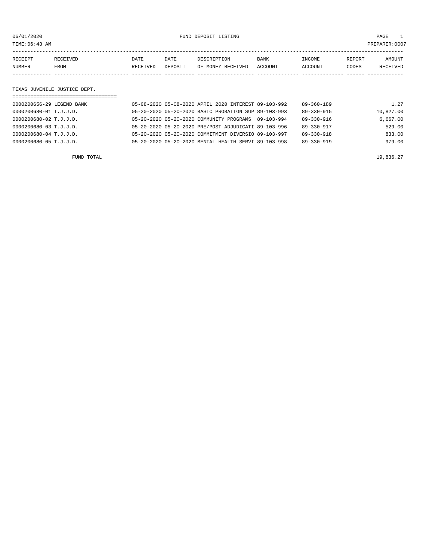06/01/2020 FUND DEPOSIT LISTING PAGE 1

| RECEIPT | <b>RECEIVED</b> | DATE            | DATE    | DESCRIPTION       | BANK    | <b>TNCOME</b> | REPORT | AMOUNT          |
|---------|-----------------|-----------------|---------|-------------------|---------|---------------|--------|-----------------|
| NUMBER  | FROM            | <b>RECEIVED</b> | DEPOSIT | OF MONEY RECEIVED | ACCOUNT | ACCOUNT       | CODES  | <b>RECEIVED</b> |
|         |                 |                 |         |                   |         |               |        |                 |

#### TEXAS JUVENILE JUSTICE DEPT.

| ;================================ |                                                      |                  |           |
|-----------------------------------|------------------------------------------------------|------------------|-----------|
| 0000200656-29 LEGEND BANK         | 05-08-2020 05-08-2020 APRIL 2020 INTEREST 89-103-992 | $89 - 360 - 189$ | 1.27      |
| 0000200680-01 T.J.J.D.            | 05-20-2020 05-20-2020 BASIC PROBATION SUP 89-103-993 | 89-330-915       | 10,827.00 |
| 0000200680-02 T.J.J.D.            | 05-20-2020 05-20-2020 COMMUNITY PROGRAMS 89-103-994  | $89 - 330 - 916$ | 6.667.00  |
| 0000200680-03 T.J.J.D.            | 05-20-2020 05-20-2020 PRE/POST ADJUDICATI 89-103-996 | 89-330-917       | 529.00    |
| 0000200680-04 T.J.J.D.            | 05-20-2020 05-20-2020 COMMITMENT DIVERSIO 89-103-997 | $89 - 330 - 918$ | 833.00    |
| 0000200680-05 T.J.J.D.            | 05-20-2020 05-20-2020 MENTAL HEALTH SERVI 89-103-998 | $89 - 330 - 919$ | 979.00    |
|                                   |                                                      |                  |           |

FUND TOTAL  $19,836.27$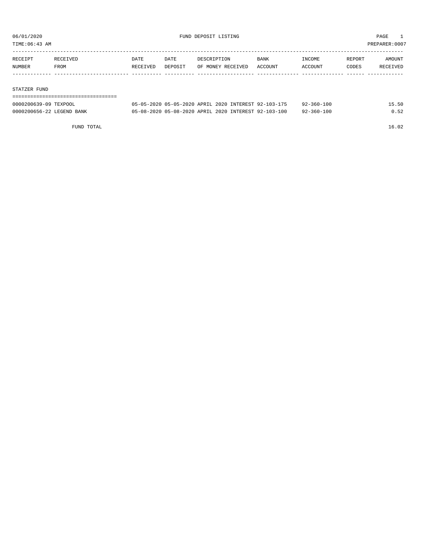TIME:06:43 AM PREPARER:0007

| RECEIPT | <b>RECEIVED</b> | DATE     | DATE    | DESCRIPTION       | <b>BANK</b> | <b>TNCOME</b> | REPORT | AMOUNT          |
|---------|-----------------|----------|---------|-------------------|-------------|---------------|--------|-----------------|
| NUMBER  | FROM            | RECEIVED | DEPOSIT | OF MONEY RECEIVED | ACCOUNT     | ACCOUNT       | CODES  | <b>RECEIVED</b> |
|         |                 |          |         |                   |             |               |        |                 |

#### STATZER FUND

| 0000200639-09 TEXPOOL     | 05-05-2020 05-05-2020 APRIL 2020 INTEREST 92-103-175 |  | $92 - 360 - 100$ | 15.50 |
|---------------------------|------------------------------------------------------|--|------------------|-------|
| 0000200656-22 LEGEND BANK | 05-08-2020 05-08-2020 APRIL 2020 INTEREST 92-103-100 |  | $92 - 360 - 100$ | 0.52  |

FUND TOTAL 16.02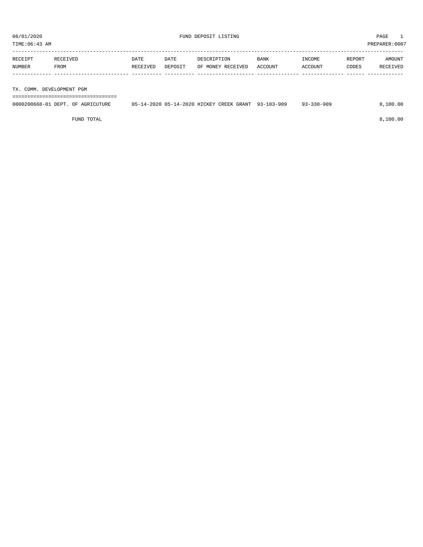TIME:06:43 AM PREPARER:0007

| RECEIPT                   | RECEIVED | DATE     | DATE    | DESCRIPTION       | BANK    | INCOME  | REPORT | AMOUNT   |
|---------------------------|----------|----------|---------|-------------------|---------|---------|--------|----------|
|                           |          |          |         |                   |         |         |        |          |
| NUMBER                    | FROM     | RECEIVED | DEPOSIT | OF MONEY RECEIVED | ACCOUNT | ACCOUNT | CODES  | RECEIVED |
|                           |          |          |         |                   |         |         |        |          |
|                           |          |          |         |                   |         |         |        |          |
| TX. COMM. DEVELOPMENT PGM |          |          |         |                   |         |         |        |          |

===================================

| 0000200668-01 DEPT. OF AGRICUTURE | 05-14-2020 05-14-2020 HICKEY CREEK GRANT 93-103-909 |  | $93 - 330 - 909$ | 8,100.00 |
|-----------------------------------|-----------------------------------------------------|--|------------------|----------|
|                                   |                                                     |  |                  |          |

FUND TOTAL 8,100.00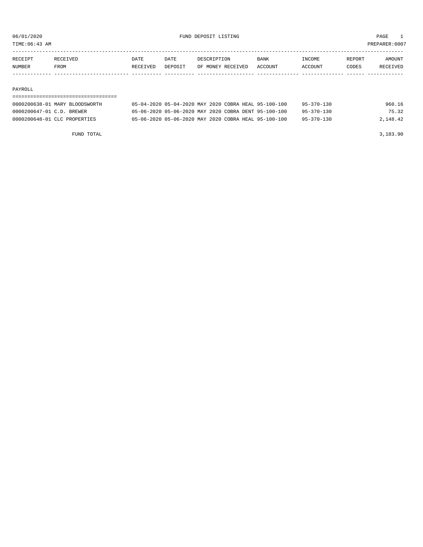TIME:06:43 AM PREPARER:0007 ----------------------------------------------------------------------------------------------------------------------------------- RECEIPT RECEIVED DATE DATE DESCRIPTION BANK INCOME REPORT AMOUNT

| NUMBER | <b>FROM</b> | TVED. | <b>DEDOSTT</b> | <b>LVEL</b><br>MONF<br>ገፑ | .OUNT | CCOUNT | <b>PODES</b> |  |
|--------|-------------|-------|----------------|---------------------------|-------|--------|--------------|--|
| RECE.  |             | DATE. | DA TE          |                           | BANN  | ^'OM∟  | REPORT       |  |

#### PAYROLL

| 0000200638-01 MARY BLOODSWORTH | 05-04-2020 05-04-2020 MAY 2020 COBRA HEAL 95-100-100 |  |  |                                                      | $95 - 370 - 130$ | 960.16   |  |
|--------------------------------|------------------------------------------------------|--|--|------------------------------------------------------|------------------|----------|--|
| 0000200647-01 C.D. BREWER      | 05-06-2020 05-06-2020 MAY 2020 COBRA DENT 95-100-100 |  |  |                                                      | $95 - 370 - 130$ | 75.32    |  |
| 0000200648-01 CLC PROPERTIES   |                                                      |  |  | 05-06-2020 05-06-2020 MAY 2020 COBRA HEAL 95-100-100 | $95 - 370 - 130$ | 2,148.42 |  |
|                                |                                                      |  |  |                                                      |                  |          |  |

FUND TOTAL 3,183.90